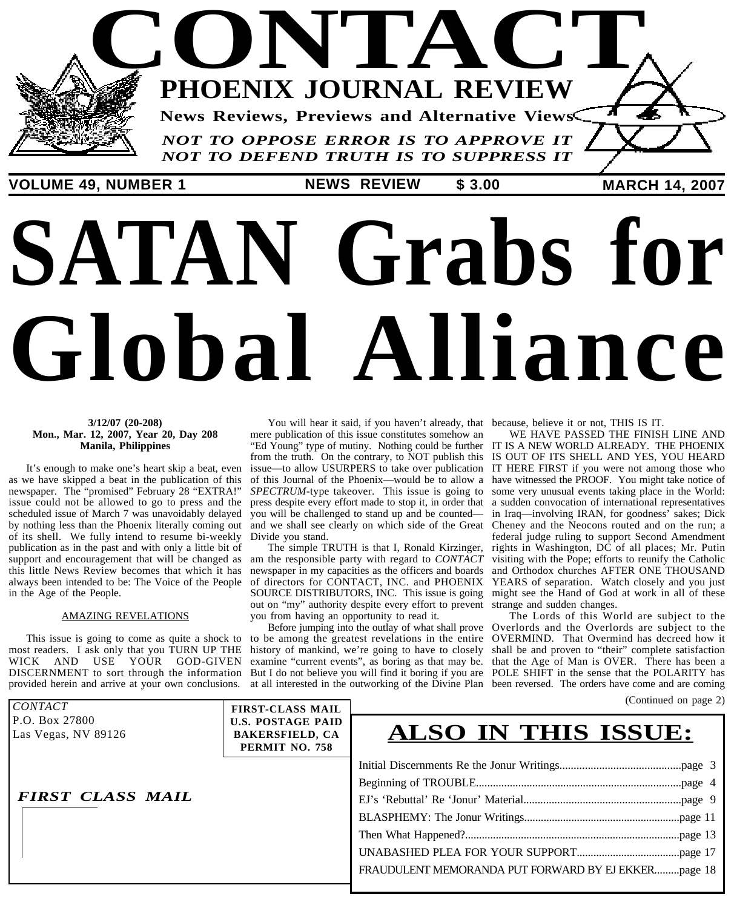## **CONTACT** *NOT TO OPPOSE ERROR IS TO APPROVE IT* **PHOENIX JOURNAL REVIEW News Reviews, Previews and Alternative Views**

*NOT TO DEFEND TRUTH IS TO SUPPRESS IT*

**VOLUME 49, NUMBER 1 \$ 3.00 MARCH 14, 2007 NEWS REVIEW**

# **SATAN Grabs for Global Alliance**

#### **3/12/07 (20-208) Mon., Mar. 12, 2007, Year 20, Day 208 Manila, Philippines**

It's enough to make one's heart skip a beat, even as we have skipped a beat in the publication of this newspaper. The "promised" February 28 "EXTRA!" issue could not be allowed to go to press and the scheduled issue of March 7 was unavoidably delayed by nothing less than the Phoenix literally coming out of its shell. We fully intend to resume bi-weekly publication as in the past and with only a little bit of support and encouragement that will be changed as am the responsible party with regard to *CONTACT* this little News Review becomes that which it has newspaper in my capacities as the officers and boards and Orthodox churches AFTER ONE THOUSAND always been intended to be: The Voice of the People in the Age of the People.

#### AMAZING REVELATIONS

This issue is going to come as quite a shock to to most readers. I ask only that you TURN UP THE history of mankind, we're going to have to closely WICK AND USE YOUR GOD-GIVEN DISCERNMENT to sort through the information But I do not believe you will find it boring if you are POLE SHIFT in the sense that the POLARITY has

mere publication of this issue constitutes somehow an "Ed Young" type of mutiny. Nothing could be further IT IS A NEW WORLD ALREADY. THE PHOENIX from the truth. On the contrary, to NOT publish this IS OUT OF ITS SHELL AND YES, YOU HEARD issue—to allow USURPERS to take over publication IT HERE FIRST if you were not among those who of this Journal of the Phoenix—would be to allow a have witnessed the PROOF. You might take notice of SPECTRUM-type takeover. This issue is going to some very unusual events taking place in the World: press despite every effort made to stop it, in order that you will be challenged to stand up and be counted and we shall see clearly on which side of the Great Divide you stand.

of directors for CONTACT, INC. and PHOENIX SOURCE DISTRIBUTORS, INC. This issue is going out on "my" authority despite every effort to prevent strange and sudden changes. you from having an opportunity to read it.

be among the greatest revelations in the entire

You will hear it said, if you haven't already, that because, believe it or not, THIS IS IT.

The simple TRUTH is that I, Ronald Kirzinger, rights in Washington, DC of all places; Mr. Putin WE HAVE PASSED THE FINISH LINE AND a sudden convocation of international representatives in Iraq—involving IRAN, for goodness' sakes; Dick Cheney and the Neocons routed and on the run; a federal judge ruling to support Second Amendment visiting with the Pope; efforts to reunify the Catholic YEARS of separation. Watch closely and you just might see the Hand of God at work in all of these

provided herein and arrive at your own conclusions. at all interested in the outworking of the Divine Plan been reversed. The orders have come and are comingBefore jumping into the outlay of what shall prove Overlords and the Overlords are subject to the examine "current events", as boring as that may be. that the Age of Man is OVER. There has been a The Lords of this World are subject to the OVERMIND. That Overmind has decreed how it shall be and proven to "their" complete satisfaction

(Continued on page 2)

| <i>CONTACT</i>                        | <b>FIRST-CLASS MAIL</b>                                              | (Communed on page $\omega$ )                        |  |
|---------------------------------------|----------------------------------------------------------------------|-----------------------------------------------------|--|
| P.O. Box 27800<br>Las Vegas, NV 89126 | <b>U.S. POSTAGE PAID</b><br><b>BAKERSFIELD, CA</b><br>PERMIT NO. 758 | <b>ALSO IN THIS ISSUE:</b>                          |  |
|                                       |                                                                      |                                                     |  |
|                                       |                                                                      |                                                     |  |
| <b>FIRST CLASS MAIL</b>               |                                                                      |                                                     |  |
|                                       |                                                                      |                                                     |  |
|                                       |                                                                      |                                                     |  |
|                                       |                                                                      |                                                     |  |
|                                       |                                                                      | FRAUDULENT MEMORANDA PUT FORWARD BY EJ EKKERpage 18 |  |
|                                       |                                                                      |                                                     |  |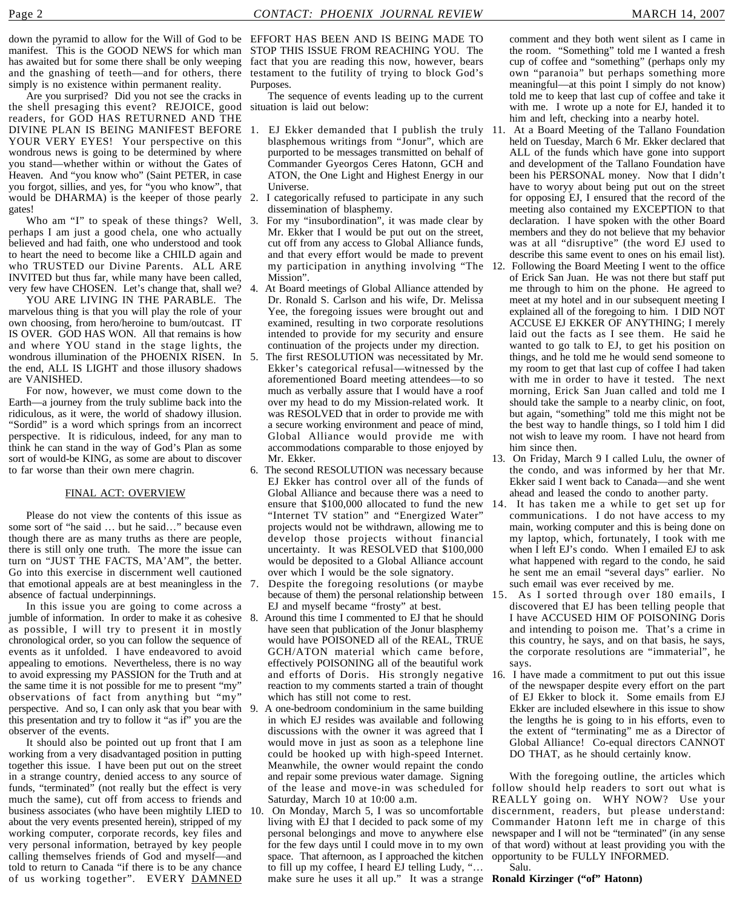down the pyramid to allow for the Will of God to be EFFORT HAS BEEN AND IS BEING MADE TO manifest. This is the GOOD NEWS for which man STOP THIS ISSUE FROM REACHING YOU. The has awaited but for some there shall be only weeping fact that you are reading this now, however, bears and the gnashing of teeth—and for others, there simply is no existence within permanent reality.

Are you surprised? Did you not see the cracks in the shell presaging this event? REJOICE, good readers, for GOD HAS RETURNED AND THE DIVINE PLAN IS BEING MANIFEST BEFORE YOUR VERY EYES! Your perspective on this wondrous news is going to be determined by where you stand—whether within or without the Gates of Heaven. And "you know who" (Saint PETER, in case you forgot, sillies, and yes, for "you who know", that would be DHARMA) is the keeper of those pearly 2. I categorically refused to participate in any such gates!

Who am "I" to speak of these things? Well, 3. perhaps I am just a good chela, one who actually believed and had faith, one who understood and took to heart the need to become like a CHILD again and who TRUSTED our Divine Parents. ALL ARE INVITED but thus far, while many have been called, very few have CHOSEN. Let's change that, shall we?

YOU ARE LIVING IN THE PARABLE. The marvelous thing is that you will play the role of your own choosing, from hero/heroine to bum/outcast. IT IS OVER. GOD HAS WON. All that remains is how and where YOU stand in the stage lights, the wondrous illumination of the PHOENIX RISEN. In 5. the end, ALL IS LIGHT and those illusory shadows are VANISHED.

For now, however, we must come down to the Earth—a journey from the truly sublime back into the ridiculous, as it were, the world of shadowy illusion. "Sordid" is a word which springs from an incorrect perspective. It is ridiculous, indeed, for any man to think he can stand in the way of God's Plan as some sort of would-be KING, as some are about to discover to far worse than their own mere chagrin.

#### FINAL ACT: OVERVIEW

Please do not view the contents of this issue as some sort of "he said … but he said…" because even though there are as many truths as there are people, there is still only one truth. The more the issue can turn on "JUST THE FACTS, MA'AM", the better. Go into this exercise in discernment well cautioned that emotional appeals are at best meaningless in the absence of factual underpinnings.

In this issue you are going to come across a jumble of information. In order to make it as cohesive 8. as possible, I will try to present it in mostly chronological order, so you can follow the sequence of events as it unfolded. I have endeavored to avoid appealing to emotions. Nevertheless, there is no way to avoid expressing my PASSION for the Truth and at the same time it is not possible for me to present "my" observations of fact from anything but "my" perspective. And so, I can only ask that you bear with this presentation and try to follow it "as if" you are the observer of the events.

It should also be pointed out up front that I am working from a very disadvantaged position in putting together this issue. I have been put out on the street in a strange country, denied access to any source of funds, "terminated" (not really but the effect is very much the same), cut off from access to friends and business associates (who have been mightily LIED to about the very events presented herein), stripped of my working computer, corporate records, key files and very personal information, betrayed by key people calling themselves friends of God and myself—and told to return to Canada "if there is to be any chance of us working together". EVERY DAMNED

testament to the futility of trying to block God's Purposes.

The sequence of events leading up to the current situation is laid out below:

- 1. EJ Ekker demanded that I publish the truly blasphemous writings from "Jonur", which are purported to be messages transmitted on behalf of Commander Gyeorgos Ceres Hatonn, GCH and ATON, the One Light and Highest Energy in our Universe.
- dissemination of blasphemy.
- 3. For my "insubordination", it was made clear by Mr. Ekker that I would be put out on the street, cut off from any access to Global Alliance funds, and that every effort would be made to prevent my participation in anything involving "The 12. Mission".
- 4. At Board meetings of Global Alliance attended by Dr. Ronald S. Carlson and his wife, Dr. Melissa Yee, the foregoing issues were brought out and examined, resulting in two corporate resolutions intended to provide for my security and ensure continuation of the projects under my direction.
	- The first RESOLUTION was necessitated by Mr. Ekker's categorical refusal—witnessed by the aforementioned Board meeting attendees—to so much as verbally assure that I would have a roof over my head to do my Mission-related work. It was RESOLVED that in order to provide me with a secure working environment and peace of mind, Global Alliance would provide me with accommodations comparable to those enjoyed by Mr. Ekker.
- 6. The second RESOLUTION was necessary because EJ Ekker has control over all of the funds of Global Alliance and because there was a need to ensure that \$100,000 allocated to fund the new 14. "Internet TV station" and "Energized Water" projects would not be withdrawn, allowing me to develop those projects without financial uncertainty. It was RESOLVED that \$100,000 would be deposited to a Global Alliance account over which I would be the sole signatory.
- 7. Despite the foregoing resolutions (or maybe because of them) the personal relationship between 15. EJ and myself became "frosty" at best.
- 8. Around this time I commented to EJ that he should have seen that publication of the Jonur blasphemy would have POISONED all of the REAL, TRUE GCH/ATON material which came before, effectively POISONING all of the beautiful work and efforts of Doris. His strongly negative reaction to my comments started a train of thought which has still not come to rest.
- 9. A one-bedroom condominium in the same building in which EJ resides was available and following discussions with the owner it was agreed that I would move in just as soon as a telephone line could be hooked up with high-speed Internet. Meanwhile, the owner would repaint the condo and repair some previous water damage. Signing Saturday, March 10 at 10:00 a.m.
- 10. On Monday, March 5, I was so uncomfortable living with EJ that I decided to pack some of my for the few days until I could move in to my own space. That afternoon, as I approached the kitchen to fill up my coffee, I heard EJ telling Ludy, "… make sure he uses it all up." It was a strange **Ronald Kirzinger ("of" Hatonn)**

comment and they both went silent as I came in the room. "Something" told me I wanted a fresh cup of coffee and "something" (perhaps only my own "paranoia" but perhaps something more meaningful—at this point I simply do not know) told me to keep that last cup of coffee and take it with me. I wrote up a note for EJ, handed it to him and left, checking into a nearby hotel.

- 11. At a Board Meeting of the Tallano Foundation held on Tuesday, March 6 Mr. Ekker declared that ALL of the funds which have gone into support and development of the Tallano Foundation have been his PERSONAL money. Now that I didn't have to woryy about being put out on the street for opposing EJ, I ensured that the record of the meeting also contained my EXCEPTION to that declaration. I have spoken with the other Board members and they do not believe that my behavior was at all "disruptive" (the word EJ used to describe this same event to ones on his email list).
- 12. Following the Board Meeting I went to the office of Erick San Juan. He was not there but staff put me through to him on the phone. He agreed to meet at my hotel and in our subsequent meeting I explained all of the foregoing to him. I DID NOT ACCUSE EJ EKKER OF ANYTHING; I merely laid out the facts as I see them. He said he wanted to go talk to EJ, to get his position on things, and he told me he would send someone to my room to get that last cup of coffee I had taken with me in order to have it tested. The next morning, Erick San Juan called and told me I should take the sample to a nearby clinic, on foot, but again, "something" told me this might not be the best way to handle things, so I told him I did not wish to leave my room. I have not heard from him since then.
- 13. On Friday, March 9 I called Lulu, the owner of the condo, and was informed by her that Mr. Ekker said I went back to Canada—and she went ahead and leased the condo to another party.
- It has taken me a while to get set up for communications. I do not have access to my main, working computer and this is being done on my laptop, which, fortunately, I took with me when I left EJ's condo. When I emailed EJ to ask what happened with regard to the condo, he said he sent me an email "several days" earlier. No such email was ever received by me.
- As I sorted through over 180 emails, I discovered that EJ has been telling people that I have ACCUSED HIM OF POISONING Doris and intending to poison me. That's a crime in this country, he says, and on that basis, he says, the corporate resolutions are "immaterial", he says.
- 16. I have made a commitment to put out this issue of the newspaper despite every effort on the part of EJ Ekker to block it. Some emails from EJ Ekker are included elsewhere in this issue to show the lengths he is going to in his efforts, even to the extent of "terminating" me as a Director of Global Alliance! Co-equal directors CANNOT DO THAT, as he should certainly know.

of the lease and move-in was scheduled for follow should help readers to sort out what is personal belongings and move to anywhere else newspaper and I will not be "terminated" (in any sense With the foregoing outline, the articles which REALLY going on. WHY NOW? Use your discernment, readers, but please understand: Commander Hatonn left me in charge of this of that word) without at least providing you with the opportunity to be FULLY INFORMED.

Salu.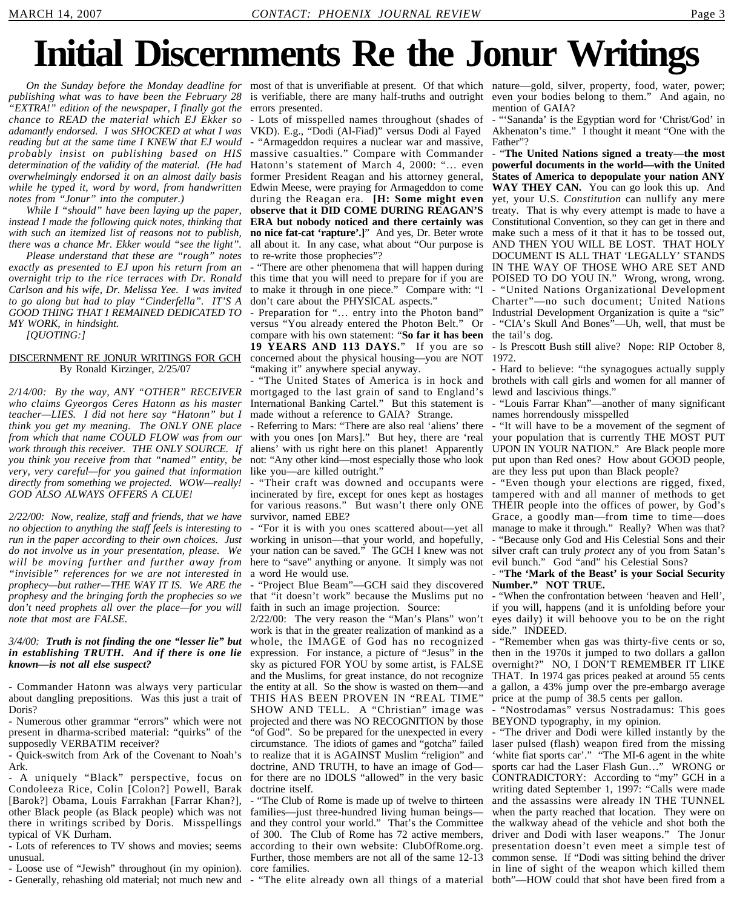## **Initial Discernments Re the Jonur Writings**

On the Sunday before the Monday deadline for most of that is unverifiable at present. Of that which nature—gold, silver, property, food, water, power; *publishing what was to have been the February 28 "EXTRA!" edition of the newspaper, I finally got the chance to READ the material which EJ Ekker so adamantly endorsed. I was SHOCKED at what I was reading but at the same time I KNEW that EJ would probably insist on publishing based on HIS determination of the validity of the material. (He had overwhelmingly endorsed it on an almost daily basis while he typed it, word by word, from handwritten notes from "Jonur" into the computer.)*

*While I "should" have been laying up the paper, instead I made the following quick notes, thinking that with such an itemized list of reasons not to publish, there was a chance Mr. Ekker would "see the light".*

*Please understand that these are "rough" notes exactly as presented to EJ upon his return from an overnight trip to the rice terraces with Dr. Ronald* this time that you will need to prepare for if you are *Carlson and his wife, Dr. Melissa Yee. I was invited to go along but had to play "Cinderfella". IT'S A GOOD THING THAT I REMAINED DEDICATED TO MY WORK, in hindsight.*

*[QUOTING:]*

#### DISCERNMENT RE JONUR WRITINGS FOR GCH By Ronald Kirzinger, 2/25/07

*who claims Gyeorgos Ceres Hatonn as his master teacher—LIES. I did not here say "Hatonn" but I think you get my meaning. The ONLY ONE place from which that name COULD FLOW was from our work through this receiver. THE ONLY SOURCE. If you think you receive from that "named" entity, be very, very careful—for you gained that information directly from something we projected. WOW—really! GOD ALSO ALWAYS OFFERS A CLUE!*

*2/22/00: Now, realize, staff and friends, that we have no objection to anything the staff feels is interesting to run in the paper according to their own choices. Just do not involve us in your presentation, please. We will be moving further and further away from "invisible" references for we are not interested in prophecy—but rather—THE WAY IT IS. We ARE the prophesy and the bringing forth the prophecies so we* that "it doesn't work" because the Muslims put no *don't need prophets all over the place—for you will* faith in such an image projection. Source: *note that most are FALSE.*

#### *3/4/00: Truth is not finding the one "lesser lie" but in establishing TRUTH. And if there is one lie known—is not all else suspect?*

- Commander Hatonn was always very particular about dangling prepositions. Was this just a trait of Doris?

- Numerous other grammar "errors" which were not present in dharma-scribed material: "quirks" of the supposedly VERBATIM receiver?

- Quick-switch from Ark of the Covenant to Noah's Ark.

- A uniquely "Black" perspective, focus on Condoleeza Rice, Colin [Colon?] Powell, Barak [Barok?] Obama, Louis Farrakhan [Farrar Khan?], other Black people (as Black people) which was not families—just three-hundred living human beings there in writings scribed by Doris. Misspellings typical of VK Durham.

- Lots of references to TV shows and movies; seems unusual.

- Loose use of "Jewish" throughout (in my opinion).

- Generally, rehashing old material; not much new and

is verifiable, there are many half-truths and outright even your bodies belong to them." And again, no errors presented.

- Lots of misspelled names throughout (shades of VKD). E.g., "Dodi (Al-Fiad)" versus Dodi al Fayed - "Armageddon requires a nuclear war and massive, massive casualties." Compare with Commander Hatonn's statement of March 4, 2000: "… even former President Reagan and his attorney general, Edwin Meese, were praying for Armageddon to come during the Reagan era. **[H: Some might even observe that it DID COME DURING REAGAN'S ERA but nobody noticed and there certainly was no nice fat-cat 'rapture'.]**" And yes, Dr. Beter wrote all about it. In any case, what about "Our purpose is to re-write those prophecies"?

- "There are other phenomena that will happen during to make it through in one piece." Compare with: "I don't care about the PHYSICAL aspects."

- Preparation for "… entry into the Photon band" versus "You already entered the Photon Belt." Or compare with his own statement: "**So far it has been** the tail's dog. **19 YEARS AND 113 DAYS.**" If you are so concerned about the physical housing—you are NOT 1972. "making it" anywhere special anyway.

*2/14/00: By the way, ANY "OTHER" RECEIVER* mortgaged to the last grain of sand to England's - "The United States of America is in hock and International Banking Cartel." But this statement is made without a reference to GAIA? Strange.

> - Referring to Mars: "There are also real 'aliens' there with you ones [on Mars]." But hey, there are 'real aliens' with us right here on this planet! Apparently not: "Any other kind—most especially those who look like you—are killed outright.'

> - "Their craft was downed and occupants were incinerated by fire, except for ones kept as hostages for various reasons." But wasn't there only ONE survivor, named EBE?

> - "For it is with you ones scattered about—yet all working in unison—that your world, and hopefully, your nation can be saved." The GCH I knew was not here to "save" anything or anyone. It simply was not a word He would use.

- "Project Blue Beam"—GCH said they discovered **Number." NOT TRUE.**

2/22/00: The very reason the "Man's Plans" won't work is that in the greater realization of mankind as a whole, the IMAGE of God has no recognized expression. For instance, a picture of "Jesus" in the sky as pictured FOR YOU by some artist, is FALSE and the Muslims, for great instance, do not recognize the entity at all. So the show is wasted on them—and THIS HAS BEEN PROVEN IN "REAL TIME" SHOW AND TELL. A "Christian" image was projected and there was NO RECOGNITION by those BEYOND typography, in my opinion. "of God". So be prepared for the unexpected in every circumstance. The idiots of games and "gotcha" failed to realize that it is AGAINST Muslim "religion" and doctrine, AND TRUTH, to have an image of God for there are no IDOLS "allowed" in the very basic doctrine itself.

- "The Club of Rome is made up of twelve to thirteen and they control your world." That's the Committee of 300. The Club of Rome has 72 active members, according to their own website: ClubOfRome.org. Further, those members are not all of the same 12-13 core families.

"The elite already own all things of a material

mention of GAIA?

- "'Sananda' is the Egyptian word for 'Christ/God' in Akhenaton's time." I thought it meant "One with the Father"?

- "**The United Nations signed a treaty—the most powerful documents in the world—with the United States of America to depopulate your nation ANY WAY THEY CAN.** You can go look this up. And yet, your U.S. *Constitution* can nullify any mere treaty. That is why every attempt is made to have a Constitutional Convention, so they can get in there and make such a mess of it that it has to be tossed out, AND THEN YOU WILL BE LOST. THAT HOLY DOCUMENT IS ALL THAT 'LEGALLY' STANDS IN THE WAY OF THOSE WHO ARE SET AND POISED TO DO YOU IN." Wrong, wrong, wrong. - "United Nations Organizational Development Charter"—no such document; United Nations Industrial Development Organization is quite a "sic" "CIA's Skull And Bones"—Uh, well, that must be

- Is Prescott Bush still alive? Nope: RIP October 8,

- Hard to believe: "the synagogues actually supply brothels with call girls and women for all manner of lewd and lascivious things."

- "Louis Farrar Khan"—another of many significant names horrendously misspelled

- "It will have to be a movement of the segment of your population that is currently THE MOST PUT UPON IN YOUR NATION." Are Black people more put upon than Red ones? How about GOOD people, are they less put upon than Black people?

- "Even though your elections are rigged, fixed, tampered with and all manner of methods to get THEIR people into the offices of power, by God's Grace, a goodly man—from time to time—does manage to make it through." Really? When was that? - "Because only God and His Celestial Sons and their silver craft can truly *protect* any of you from Satan's evil bunch." God "and" his Celestial Sons?

- "**The 'Mark of the Beast' is your Social Security**

- "When the confrontation between 'heaven and Hell', if you will, happens (and it is unfolding before your eyes daily) it will behoove you to be on the right side." INDEED.

- "Remember when gas was thirty-five cents or so, then in the 1970s it jumped to two dollars a gallon overnight?" NO, I DON'T REMEMBER IT LIKE THAT. In 1974 gas prices peaked at around 55 cents a gallon, a 43% jump over the pre-embargo average price at the pump of 38.5 cents per gallon.

"Nostrodamas" versus Nostradamus: This goes

"The driver and Dodi were killed instantly by the laser pulsed (flash) weapon fired from the missing 'white fiat sports car'." "The MI-6 agent in the white sports car had the Laser Flash Gun…" WRONG or CONTRADICTORY: According to "my" GCH in a writing dated September 1, 1997: "Calls were made and the assassins were already IN THE TUNNEL when the party reached that location. They were on the walkway ahead of the vehicle and shot both the driver and Dodi with laser weapons." The Jonur presentation doesn't even meet a simple test of common sense. If "Dodi was sitting behind the driver in line of sight of the weapon which killed them both"—HOW could that shot have been fired from a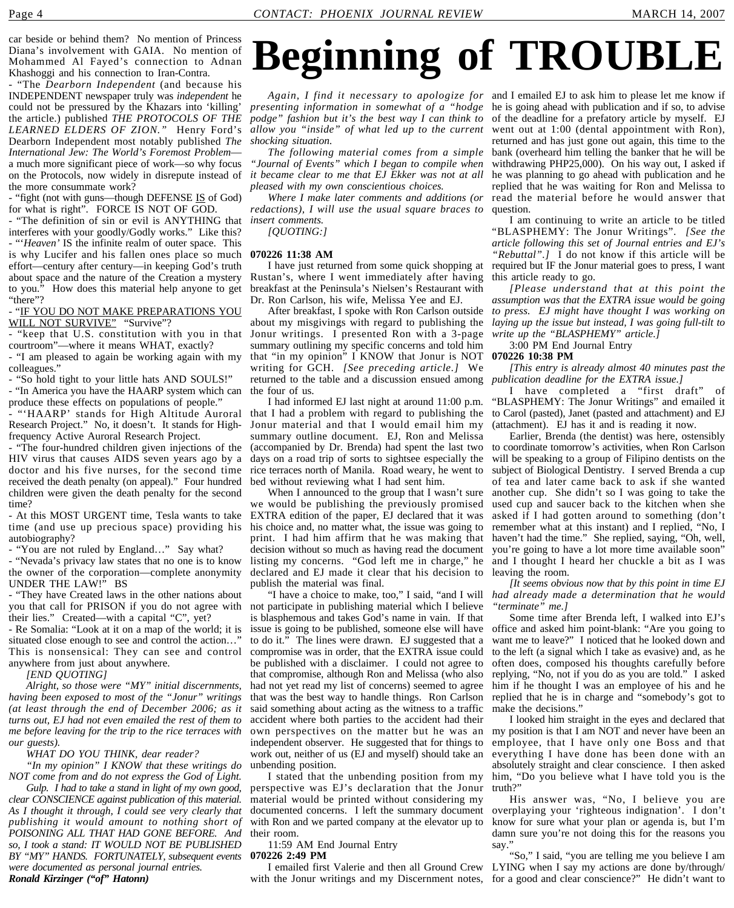car beside or behind them? No mention of Princess Diana's involvement with GAIA. No mention of Mohammed Al Fayed's connection to Adnan Khashoggi and his connection to Iran-Contra.

- "The *Dearborn Independent* (and because his INDEPENDENT newspaper truly was *independent* he could not be pressured by the Khazars into 'killing' the article.) published *THE PROTOCOLS OF THE LEARNED ELDERS OF ZION."* Henry Ford's Dearborn Independent most notably published *The International Jew: The World's Foremost Problem* a much more significant piece of work—so why focus on the Protocols, now widely in disrepute instead of the more consummate work?

- "fight (not with guns—though DEFENSE IS of God) for what is right". FORCE IS NOT OF GOD.

- "The definition of sin or evil is ANYTHING that interferes with your goodly/Godly works." Like this? - "'*Heaven'* IS the infinite realm of outer space. This is why Lucifer and his fallen ones place so much effort—century after century—in keeping God's truth about space and the nature of the Creation a mystery to you." How does this material help anyone to get "there"?

- "IF YOU DO NOT MAKE PREPARATIONS YOU WILL NOT SURVIVE" "Survive"?

- "keep that U.S. constitution with you in that courtroom"—where it means WHAT, exactly?

- "I am pleased to again be working again with my colleagues."

- "So hold tight to your little hats AND SOULS!"

- "In America you have the HAARP system which can produce these effects on populations of people."

Research Project." No, it doesn't. It stands for Highfrequency Active Auroral Research Project.

- "The four-hundred children given injections of the HIV virus that causes AIDS seven years ago by a doctor and his five nurses, for the second time received the death penalty (on appeal)." Four hundred children were given the death penalty for the second time?

- At this MOST URGENT time, Tesla wants to take time (and use up precious space) providing his autobiography?

- "You are not ruled by England…" Say what?

- "Nevada's privacy law states that no one is to know the owner of the corporation—complete anonymity UNDER THE LAW!" BS

- "They have Created laws in the other nations about you that call for PRISON if you do not agree with their lies." Created—with a capital "C", yet?

- Re Somalia: "Look at it on a map of the world; it is situated close enough to see and control the action…" This is nonsensical: They can see and control anywhere from just about anywhere.

*[END QUOTING]*

*Alright, so those were "MY" initial discernments, having been exposed to most of the "Jonur" writings (at least through the end of December 2006; as it turns out, EJ had not even emailed the rest of them to me before leaving for the trip to the rice terraces with our guests).*

*WHAT DO YOU THINK, dear reader?*

*"In my opinion" I KNOW that these writings do NOT come from and do not express the God of Light.*

*Gulp. I had to take a stand in light of my own good, clear CONSCIENCE against publication of this material. As I thought it through, I could see very clearly that publishing it would amount to nothing short of POISONING ALL THAT HAD GONE BEFORE. And so, I took a stand: IT WOULD NOT BE PUBLISHED BY "MY" HANDS. FORTUNATELY, subsequent events were documented as personal journal entries. Ronald Kirzinger ("of" Hatonn)*

## **Beginning of TROUBLE**

*allow you "inside" of what led up to the current shocking situation.*

*The following material comes from a simple "Journal of Events" which I began to compile when it became clear to me that EJ Ekker was not at all pleased with my own conscientious choices.*

*redactions), I will use the usual square braces to* question. *insert comments.*

*[QUOTING:]*

#### **070226 11:38 AM**

I have just returned from some quick shopping at Rustan's, where I went immediately after having breakfast at the Peninsula's Nielsen's Restaurant with Dr. Ron Carlson, his wife, Melissa Yee and EJ.

about my misgivings with regard to publishing the Jonur writings. I presented Ron with a 3-page summary outlining my specific concerns and told him that "in my opinion" I KNOW that Jonur is NOT writing for GCH. *[See preceding article.]* We returned to the table and a discussion ensued among the four of us.

- "'HAARP' stands for High Altitude Auroral that I had a problem with regard to publishing the to Carol (pasted), Janet (pasted and attachment) and EJ I had informed EJ last night at around 11:00 p.m. Jonur material and that I would email him my summary outline document. EJ, Ron and Melissa (accompanied by Dr. Brenda) had spent the last two days on a road trip of sorts to sightsee especially the rice terraces north of Manila. Road weary, he went to bed without reviewing what I had sent him.

When I announced to the group that I wasn't sure we would be publishing the previously promised EXTRA edition of the paper, EJ declared that it was his choice and, no matter what, the issue was going to print. I had him affirm that he was making that decision without so much as having read the document declared and EJ made it clear that his decision to publish the material was final.

"I have a choice to make, too," I said, "and I will not participate in publishing material which I believe is blasphemous and takes God's name in vain. If that issue is going to be published, someone else will have to do it." The lines were drawn. EJ suggested that a compromise was in order, that the EXTRA issue could be published with a disclaimer. I could not agree to that compromise, although Ron and Melissa (who also had not yet read my list of concerns) seemed to agree that was the best way to handle things. Ron Carlson said something about acting as the witness to a traffic accident where both parties to the accident had their independent observer. He suggested that for things to work out, neither of us (EJ and myself) should take an unbending position.

perspective was EJ's declaration that the Jonur truth?" material would be printed without considering my documented concerns. I left the summary document with Ron and we parted company at the elevator up to their room.

11:59 AM End Journal Entry **070226 2:49 PM**

with the Jonur writings and my Discernment notes, for a good and clear conscience?" He didn't want to

*Again, I find it necessary to apologize for* and I emailed EJ to ask him to please let me know if *presenting information in somewhat of a "hodge* he is going ahead with publication and if so, to advise *podge" fashion but it's the best way I can think to* of the deadline for a prefatory article by myself. EJ *Where I make later comments and additions (or* read the material before he would answer that went out at 1:00 (dental appointment with Ron), returned and has just gone out again, this time to the bank (overheard him telling the banker that he will be withdrawing PHP25,000). On his way out, I asked if he was planning to go ahead with publication and he replied that he was waiting for Ron and Melissa to

I am continuing to write an article to be titled "BLASPHEMY: The Jonur Writings". *[See the article following this set of Journal entries and EJ's "Rebuttal".]* I do not know if this article will be required but IF the Jonur material goes to press, I want this article ready to go.

After breakfast, I spoke with Ron Carlson outside *to press. EJ might have thought I was working on [Please understand that at this point the assumption was that the EXTRA issue would be going laying up the issue but instead, I was going full-tilt to write up the "BLASPHEMY" article.]*

#### 3:00 PM End Journal Entry

**070226 10:38 PM** *[This entry is already almost 40 minutes past the*

*publication deadline for the EXTRA issue.]* I have completed a "first draft" of

"BLASPHEMY: The Jonur Writings" and emailed it (attachment). EJ has it and is reading it now.

listing my concerns. "God left me in charge," he and I thought I heard her chuckle a bit as I was Earlier, Brenda (the dentist) was here, ostensibly to coordinate tomorrow's activities, when Ron Carlson will be speaking to a group of Filipino dentists on the subject of Biological Dentistry. I served Brenda a cup of tea and later came back to ask if she wanted another cup. She didn't so I was going to take the used cup and saucer back to the kitchen when she asked if I had gotten around to something (don't remember what at this instant) and I replied, "No, I haven't had the time." She replied, saying, "Oh, well, you're going to have a lot more time available soon" leaving the room.

*[It seems obvious now that by this point in time EJ had already made a determination that he would "terminate" me.]*

Some time after Brenda left, I walked into EJ's office and asked him point-blank: "Are you going to want me to leave?" I noticed that he looked down and to the left (a signal which I take as evasive) and, as he often does, composed his thoughts carefully before replying, "No, not if you do as you are told." I asked him if he thought I was an employee of his and he replied that he is in charge and "somebody's got to make the decisions."

own perspectives on the matter but he was an my position is that I am NOT and never have been an I stated that the unbending position from my him, "Do you believe what I have told you is the I looked him straight in the eyes and declared that employee, that I have only one Boss and that everything I have done has been done with an absolutely straight and clear conscience. I then asked

His answer was, "No, I believe you are overplaying your 'righteous indignation'. I don't know for sure what your plan or agenda is, but I'm damn sure you're not doing this for the reasons you say."

I emailed first Valerie and then all Ground Crew LYING when I say my actions are done by/through/ "So," I said, "you are telling me you believe I am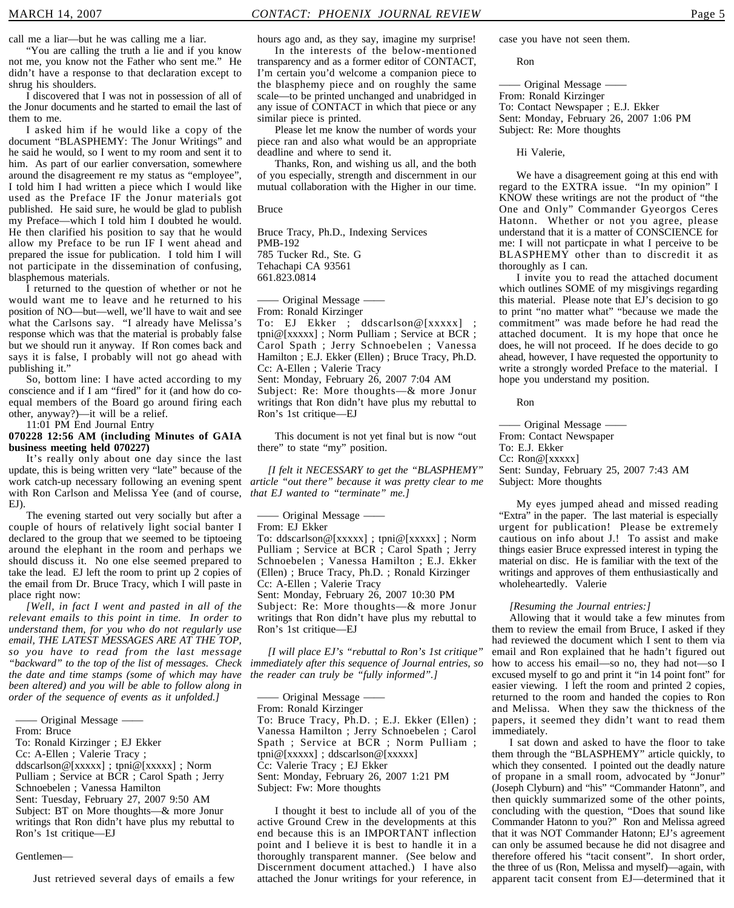call me a liar—but he was calling me a liar.

"You are calling the truth a lie and if you know not me, you know not the Father who sent me." He didn't have a response to that declaration except to shrug his shoulders.

I discovered that I was not in possession of all of the Jonur documents and he started to email the last of them to me.

I asked him if he would like a copy of the document "BLASPHEMY: The Jonur Writings" and he said he would, so I went to my room and sent it to him. As part of our earlier conversation, somewhere around the disagreement re my status as "employee", I told him I had written a piece which I would like used as the Preface IF the Jonur materials got published. He said sure, he would be glad to publish my Preface—which I told him I doubted he would. He then clarified his position to say that he would allow my Preface to be run IF I went ahead and prepared the issue for publication. I told him I will not participate in the dissemination of confusing, blasphemous materials.

I returned to the question of whether or not he would want me to leave and he returned to his position of NO—but—well, we'll have to wait and see what the Carlsons say. "I already have Melissa's response which was that the material is probably false but we should run it anyway. If Ron comes back and says it is false, I probably will not go ahead with publishing it."

So, bottom line: I have acted according to my conscience and if I am "fired" for it (and how do coequal members of the Board go around firing each other, anyway?)—it will be a relief.

11:01 PM End Journal Entry **070228 12:56 AM (including Minutes of GAIA**

#### **business meeting held 070227)** It's really only about one day since the last update, this is being written very "late" because of the

work catch-up necessary following an evening spent with Ron Carlson and Melissa Yee (and of course, EJ).

The evening started out very socially but after a couple of hours of relatively light social banter I declared to the group that we seemed to be tiptoeing around the elephant in the room and perhaps we should discuss it. No one else seemed prepared to take the lead. EJ left the room to print up 2 copies of the email from Dr. Bruce Tracy, which I will paste in place right now:

*[Well, in fact I went and pasted in all of the relevant emails to this point in time. In order to understand them, for you who do not regularly use email, THE LATEST MESSAGES ARE AT THE TOP, so you have to read from the last message "backward" to the top of the list of messages. Check the date and time stamps (some of which may have been altered) and you will be able to follow along in order of the sequence of events as it unfolded.]*

Original Message —

From: Bruce

To: Ronald Kirzinger ; EJ Ekker

Cc: A-Ellen ; Valerie Tracy ;

ddscarlson@[xxxxx] ; tpni@[xxxxx] ; Norm Pulliam ; Service at BCR ; Carol Spath ; Jerry Schnoebelen ; Vanessa Hamilton Sent: Tuesday, February 27, 2007 9:50 AM Subject: BT on More thoughts—& more Jonur writings that Ron didn't have plus my rebuttal to

#### Gentlemen—

Ron's 1st critique—EJ

Just retrieved several days of emails a few

hours ago and, as they say, imagine my surprise!

In the interests of the below-mentioned transparency and as a former editor of CONTACT, I'm certain you'd welcome a companion piece to the blasphemy piece and on roughly the same scale—to be printed unchanged and unabridged in any issue of CONTACT in which that piece or any similar piece is printed.

Please let me know the number of words your piece ran and also what would be an appropriate deadline and where to send it.

Thanks, Ron, and wishing us all, and the both of you especially, strength and discernment in our mutual collaboration with the Higher in our time.

Bruce

Bruce Tracy, Ph.D., Indexing Services PMB-192 785 Tucker Rd., Ste. G Tehachapi CA 93561 661.823.0814

- Original Message -From: Ronald Kirzinger

To: EJ Ekker ; ddscarlson@[xxxxx] tpni@[xxxxx] ; Norm Pulliam ; Service at BCR ; Carol Spath ; Jerry Schnoebelen ; Vanessa Hamilton ; E.J. Ekker (Ellen) ; Bruce Tracy, Ph.D. Cc: A-Ellen ; Valerie Tracy Sent: Monday, February 26, 2007 7:04 AM Subject: Re: More thoughts—& more Jonur writings that Ron didn't have plus my rebuttal to Ron's 1st critique—EJ

This document is not yet final but is now "out there" to state "my" position.

*[I felt it NECESSARY to get the "BLASPHEMY" article "out there" because it was pretty clear to me that EJ wanted to "terminate" me.]*

—— Original Message ——

From: EJ Ekker

To: ddscarlson@[xxxxx] ; tpni@[xxxxx] ; Norm Pulliam ; Service at BCR ; Carol Spath ; Jerry Schnoebelen ; Vanessa Hamilton ; E.J. Ekker (Ellen) ; Bruce Tracy, Ph.D. ; Ronald Kirzinger Cc: A-Ellen ; Valerie Tracy

Sent: Monday, February 26, 2007 10:30 PM Subject: Re: More thoughts—& more Jonur writings that Ron didn't have plus my rebuttal to Ron's 1st critique—EJ

*[I will place EJ's "rebuttal to Ron's 1st critique" immediately after this sequence of Journal entries, so the reader can truly be "fully informed".]*

—— Original Message —— From: Ronald Kirzinger

To: Bruce Tracy, Ph.D. ; E.J. Ekker (Ellen) ; Vanessa Hamilton ; Jerry Schnoebelen ; Carol Spath ; Service at BCR ; Norm Pulliam ; tpni@[xxxxx] ; ddscarlson@[xxxxx] Cc: Valerie Tracy ; EJ Ekker Sent: Monday, February 26, 2007 1:21 PM Subject: Fw: More thoughts

I thought it best to include all of you of the active Ground Crew in the developments at this end because this is an IMPORTANT inflection point and I believe it is best to handle it in a thoroughly transparent manner. (See below and Discernment document attached.) I have also attached the Jonur writings for your reference, in case you have not seen them.

Ron

—— Original Message —— From: Ronald Kirzinger To: Contact Newspaper ; E.J. Ekker Sent: Monday, February 26, 2007 1:06 PM Subject: Re: More thoughts

Hi Valerie,

We have a disagreement going at this end with regard to the EXTRA issue. "In my opinion" I KNOW these writings are not the product of "the One and Only" Commander Gyeorgos Ceres Hatonn. Whether or not you agree, please understand that it is a matter of CONSCIENCE for me: I will not particpate in what I perceive to be BLASPHEMY other than to discredit it as thoroughly as I can.

I invite you to read the attached document which outlines SOME of my misgivings regarding this material. Please note that EJ's decision to go to print "no matter what" "because we made the commitment" was made before he had read the attached document. It is my hope that once he does, he will not proceed. If he does decide to go ahead, however, I have requested the opportunity to write a strongly worded Preface to the material. I hope you understand my position.

Ron

—— Original Message —— From: Contact Newspaper To: E.J. Ekker Cc: Ron@[xxxxx] Sent: Sunday, February 25, 2007 7:43 AM Subject: More thoughts

My eyes jumped ahead and missed reading "Extra" in the paper. The last material is especially urgent for publication! Please be extremely cautious on info about J.! To assist and make things easier Bruce expressed interest in typing the material on disc. He is familiar with the text of the writings and approves of them enthusiastically and wholeheartedly. Valerie

#### *[Resuming the Journal entries:]*

Allowing that it would take a few minutes from them to review the email from Bruce, I asked if they had reviewed the document which I sent to them via email and Ron explained that he hadn't figured out how to access his email—so no, they had not—so I excused myself to go and print it "in 14 point font" for easier viewing. I left the room and printed 2 copies, returned to the room and handed the copies to Ron and Melissa. When they saw the thickness of the papers, it seemed they didn't want to read them immediately.

I sat down and asked to have the floor to take them through the "BLASPHEMY" article quickly, to which they consented. I pointed out the deadly nature of propane in a small room, advocated by "Jonur" (Joseph Clyburn) and "his" "Commander Hatonn", and then quickly summarized some of the other points, concluding with the question, "Does that sound like Commander Hatonn to you?" Ron and Melissa agreed that it was NOT Commander Hatonn; EJ's agreement can only be assumed because he did not disagree and therefore offered his "tacit consent". In short order, the three of us (Ron, Melissa and myself)—again, with apparent tacit consent from EJ—determined that it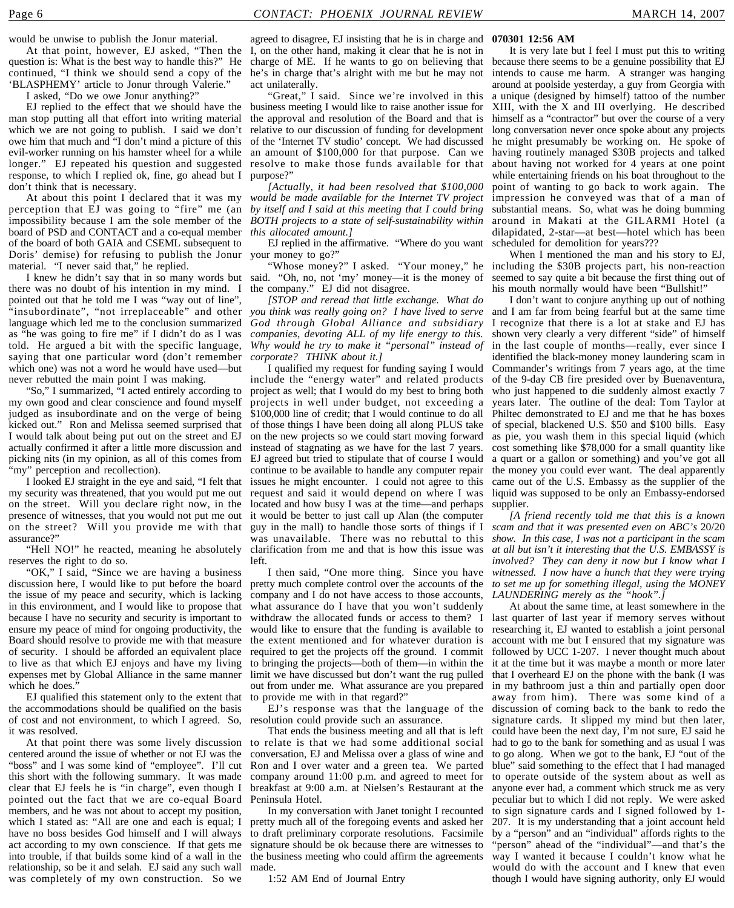would be unwise to publish the Jonur material.

At that point, however, EJ asked, "Then the question is: What is the best way to handle this?" He continued, "I think we should send a copy of the 'BLASPHEMY' article to Jonur through Valerie."

I asked, "Do we owe Jonur anything?"

EJ replied to the effect that we should have the man stop putting all that effort into writing material which we are not going to publish. I said we don't owe him that much and "I don't mind a picture of this evil-worker running on his hamster wheel for a while longer." EJ repeated his question and suggested response, to which I replied ok, fine, go ahead but I don't think that is necessary.

perception that EJ was going to "fire" me (an *by itself and I said at this meeting that I could bring* impossibility because I am the sole member of the *BOTH projects to a state of self-sustainability within* board of PSD and CONTACT and a co-equal member of the board of both GAIA and CSEML subsequent to Doris' demise) for refusing to publish the Jonur material. "I never said that," he replied.

I knew he didn't say that in so many words but there was no doubt of his intention in my mind. I pointed out that he told me I was "way out of line", "insubordinate", "not irreplaceable" and other language which led me to the conclusion summarized as "he was going to fire me" if I didn't do as I was told. He argued a bit with the specific language, saying that one particular word (don't remember which one) was not a word he would have used—but never rebutted the main point I was making.

"So," I summarized, "I acted entirely according to my own good and clear conscience and found myself judged as insubordinate and on the verge of being kicked out." Ron and Melissa seemed surprised that I would talk about being put out on the street and EJ actually confirmed it after a little more discussion and picking nits (in my opinion, as all of this comes from 'my" perception and recollection).

I looked EJ straight in the eye and said, "I felt that my security was threatened, that you would put me out on the street. Will you declare right now, in the presence of witnesses, that you would not put me out on the street? Will you provide me with that assurance?"

"Hell NO!" he reacted, meaning he absolutely reserves the right to do so.

"OK," I said, "Since we are having a business discussion here, I would like to put before the board the issue of my peace and security, which is lacking in this environment, and I would like to propose that because I have no security and security is important to ensure my peace of mind for ongoing productivity, the Board should resolve to provide me with that measure of security. I should be afforded an equivalent place to live as that which EJ enjoys and have my living expenses met by Global Alliance in the same manner which he does."

EJ qualified this statement only to the extent that the accommodations should be qualified on the basis of cost and not environment, to which I agreed. So, it was resolved.

centered around the issue of whether or not EJ was the "boss" and I was some kind of "employee". I'll cut this short with the following summary. It was made clear that EJ feels he is "in charge", even though I pointed out the fact that we are co-equal Board members, and he was not about to accept my position, which I stated as: "All are one and each is equal; I have no boss besides God himself and I will always act according to my own conscience. If that gets me into trouble, if that builds some kind of a wall in the relationship, so be it and selah. EJ said any such wall was completely of my own construction. So we

agreed to disagree, EJ insisting that he is in charge and **070301 12:56 AM** I, on the other hand, making it clear that he is not in charge of ME. If he wants to go on believing that because there seems to be a genuine possibility that EJ he's in charge that's alright with me but he may not act unilaterally.

"Great," I said. Since we're involved in this business meeting I would like to raise another issue for the approval and resolution of the Board and that is relative to our discussion of funding for development of the 'Internet TV studio' concept. We had discussed an amount of \$100,000 for that purpose. Can we resolve to make those funds available for that purpose?"

At about this point I declared that it was my *would be made available for the Internet TV project [Actually, it had been resolved that \$100,000 this allocated amount.]*

EJ replied in the affirmative. "Where do you want your money to go?"

said. "Oh, no, not 'my' money—it is the money of the company." EJ did not disagree.

*[STOP and reread that little exchange. What do you think was really going on? I have lived to serve God through Global Alliance and subsidiary companies, devoting ALL of my life energy to this. Why would he try to make it "personal" instead of corporate? THINK about it.]*

I qualified my request for funding saying I would include the "energy water" and related products project as well; that I would do my best to bring both projects in well under budget, not exceeding a \$100,000 line of credit; that I would continue to do all of those things I have been doing all along PLUS take on the new projects so we could start moving forward instead of stagnating as we have for the last 7 years. EJ agreed but tried to stipulate that of course I would continue to be available to handle any computer repair issues he might encounter. I could not agree to this request and said it would depend on where I was located and how busy I was at the time—and perhaps it would be better to just call up Alan (the computer guy in the mall) to handle those sorts of things if I was unavailable. There was no rebuttal to this clarification from me and that is how this issue was left.

pretty much complete control over the accounts of the company and I do not have access to those accounts, what assurance do I have that you won't suddenly withdraw the allocated funds or access to them? I would like to ensure that the funding is available to the extent mentioned and for whatever duration is required to get the projects off the ground. I commit to bringing the projects—both of them—in within the limit we have discussed but don't want the rug pulled out from under me. What assurance are you prepared to provide me with in that regard?"

EJ's response was that the language of the resolution could provide such an assurance.

At that point there was some lively discussion to relate is that we had some additional social That ends the business meeting and all that is left conversation, EJ and Melissa over a glass of wine and Ron and I over water and a green tea. We parted company around 11:00 p.m. and agreed to meet for to operate outside of the system about as well as breakfast at 9:00 a.m. at Nielsen's Restaurant at the Peninsula Hotel.

> In my conversation with Janet tonight I recounted pretty much all of the foregoing events and asked her to draft preliminary corporate resolutions. Facsimile signature should be ok because there are witnesses to the business meeting who could affirm the agreements made.

1:52 AM End of Journal Entry

It is very late but I feel I must put this to writing intends to cause me harm. A stranger was hanging around at poolside yesterday, a guy from Georgia with a unique (designed by himself) tattoo of the number XIII, with the X and III overlying. He described himself as a "contractor" but over the course of a very long conversation never once spoke about any projects he might presumably be working on. He spoke of having routinely managed \$30B projects and talked about having not worked for 4 years at one point while entertaining friends on his boat throughout to the point of wanting to go back to work again. The impression he conveyed was that of a man of substantial means. So, what was he doing bumming around in Makati at the GILARMI Hotel (a dilapidated, 2-star—at best—hotel which has been scheduled for demolition for years???

"Whose money?" I asked. "Your money," he including the \$30B projects part, his non-reaction When I mentioned the man and his story to EJ, seemed to say quite a bit because the first thing out of his mouth normally would have been "Bullshit!"

> I don't want to conjure anything up out of nothing and I am far from being fearful but at the same time I recognize that there is a lot at stake and EJ has shown very clearly a very different "side" of himself in the last couple of months—really, ever since I identified the black-money money laundering scam in Commander's writings from 7 years ago, at the time of the 9-day CB fire presided over by Buenaventura, who just happened to die suddenly almost exactly 7 years later. The outline of the deal: Tom Taylor at Philtec demonstrated to EJ and me that he has boxes of special, blackened U.S. \$50 and \$100 bills. Easy as pie, you wash them in this special liquid (which cost something like \$78,000 for a small quantity like a quart or a gallon or something) and you've got all the money you could ever want. The deal apparently came out of the U.S. Embassy as the supplier of the liquid was supposed to be only an Embassy-endorsed supplier.

I then said, "One more thing. Since you have *witnessed. I now have a hunch that they were trying [A friend recently told me that this is a known scam and that it was presented even on ABC's* 20/20 *show. In this case, I was not a participant in the scam at all but isn't it interesting that the U.S. EMBASSY is involved? They can deny it now but I know what I to set me up for something illegal, using the MONEY LAUNDERING merely as the "hook".]*

> At about the same time, at least somewhere in the last quarter of last year if memory serves without researching it, EJ wanted to establish a joint personal account with me but I ensured that my signature was followed by UCC 1-207. I never thought much about it at the time but it was maybe a month or more later that I overheard EJ on the phone with the bank (I was in my bathroom just a thin and partially open door away from him). There was some kind of a discussion of coming back to the bank to redo the signature cards. It slipped my mind but then later, could have been the next day, I'm not sure, EJ said he had to go to the bank for something and as usual I was to go along. When we got to the bank, EJ "out of the blue" said something to the effect that I had managed anyone ever had, a comment which struck me as very peculiar but to which I did not reply. We were asked to sign signature cards and I signed followed by 1- 207. It is my understanding that a joint account held by a "person" and an "individual" affords rights to the "person" ahead of the "individual"—and that's the way I wanted it because I couldn't know what he would do with the account and I knew that even though I would have signing authority, only EJ would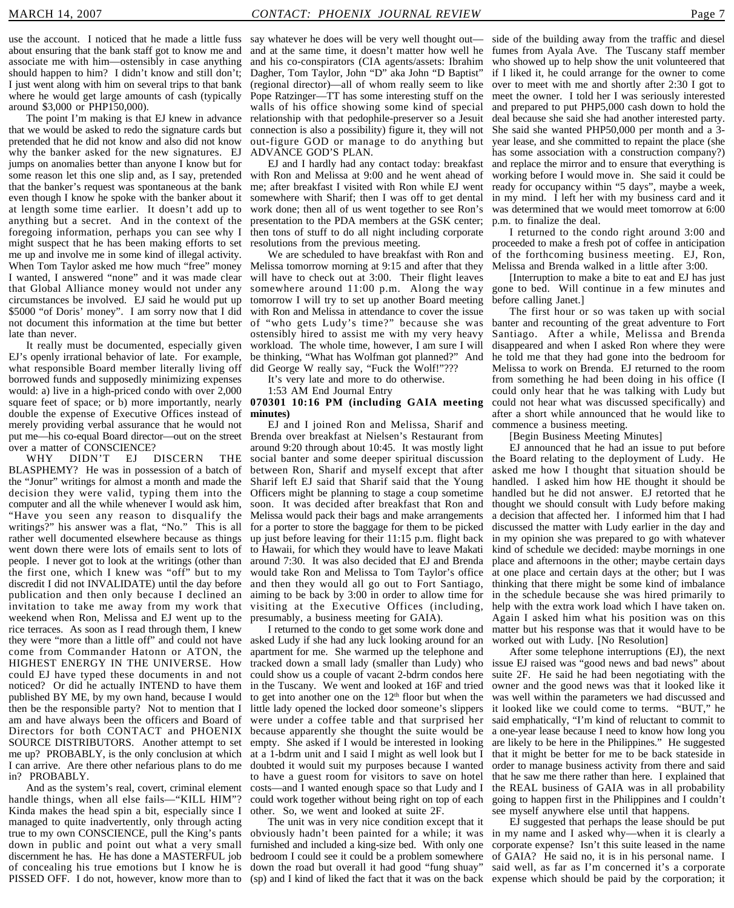use the account. I noticed that he made a little fuss say whatever he does will be very well thought out about ensuring that the bank staff got to know me and associate me with him—ostensibly in case anything should happen to him? I didn't know and still don't; I just went along with him on several trips to that bank where he would get large amounts of cash (typically around \$3,000 or PHP150,000).

The point I'm making is that EJ knew in advance that we would be asked to redo the signature cards but pretended that he did not know and also did not know why the banker asked for the new signatures. EJ jumps on anomalies better than anyone I know but for some reason let this one slip and, as I say, pretended that the banker's request was spontaneous at the bank even though I know he spoke with the banker about it at length some time earlier. It doesn't add up to anything but a secret. And in the context of the foregoing information, perhaps you can see why I might suspect that he has been making efforts to set me up and involve me in some kind of illegal activity. When Tom Taylor asked me how much "free" money I wanted, I answered "none" and it was made clear that Global Alliance money would not under any circumstances be involved. EJ said he would put up \$5000 "of Doris' money". I am sorry now that I did not document this information at the time but better late than never.

It really must be documented, especially given EJ's openly irrational behavior of late. For example, what responsible Board member literally living off borrowed funds and supposedly minimizing expenses would: a) live in a high-priced condo with over 2,000 square feet of space; or b) more importantly, nearly double the expense of Executive Offices instead of merely providing verbal assurance that he would not put me—his co-equal Board director—out on the street over a matter of CONSCIENCE?

WHY DIDN'T EJ DISCERN THE BLASPHEMY? He was in possession of a batch of the "Jonur" writings for almost a month and made the decision they were valid, typing them into the computer and all the while whenever I would ask him, "Have you seen any reason to disqualify the writings?" his answer was a flat, "No." This is all rather well documented elsewhere because as things went down there were lots of emails sent to lots of people. I never got to look at the writings (other than the first one, which I knew was "off" but to my discredit I did not INVALIDATE) until the day before publication and then only because I declined an invitation to take me away from my work that weekend when Ron, Melissa and EJ went up to the rice terraces. As soon as I read through them, I knew they were "more than a little off" and could not have come from Commander Hatonn or ATON, the HIGHEST ENERGY IN THE UNIVERSE. How could EJ have typed these documents in and not noticed? Or did he actually INTEND to have them published BY ME, by my own hand, because I would then be the responsible party? Not to mention that I am and have always been the officers and Board of Directors for both CONTACT and PHOENIX SOURCE DISTRIBUTORS. Another attempt to set me up? PROBABLY, is the only conclusion at which I can arrive. Are there other nefarious plans to do me in? PROBABLY.

And as the system's real, covert, criminal element handle things, when all else fails—"KILL HIM"? Kinda makes the head spin a bit, especially since I managed to quite inadvertently, only through acting true to my own CONSCIENCE, pull the King's pants down in public and point out what a very small discernment he has. He has done a MASTERFUL job of concealing his true emotions but I know he is PISSED OFF. I do not, however, know more than to

and at the same time, it doesn't matter how well he and his co-conspirators (CIA agents/assets: Ibrahim Dagher, Tom Taylor, John "D" aka John "D Baptist" (regional director)—all of whom really seem to like Pope Ratzinger—TT has some interesting stuff on the walls of his office showing some kind of special relationship with that pedophile-preserver so a Jesuit connection is also a possibility) figure it, they will not out-figure GOD or manage to do anything but ADVANCE GOD'S PLAN.

EJ and I hardly had any contact today: breakfast with Ron and Melissa at 9:00 and he went ahead of me; after breakfast I visited with Ron while EJ went somewhere with Sharif; then I was off to get dental work done; then all of us went together to see Ron's presentation to the PDA members at the GSK center; then tons of stuff to do all night including corporate resolutions from the previous meeting.

We are scheduled to have breakfast with Ron and Melissa tomorrow morning at 9:15 and after that they will have to check out at 3:00. Their flight leaves somewhere around 11:00 p.m. Along the way tomorrow I will try to set up another Board meeting with Ron and Melissa in attendance to cover the issue "who gets Ludy's time?" because she was ostensibly hired to assist me with my very heavy workload. The whole time, however, I am sure I will be thinking, "What has Wolfman got planned?" And did George W really say, "Fuck the Wolf!"???

It's very late and more to do otherwise.

1:53 AM End Journal Entry

**070301 10:16 PM (including GAIA meeting minutes)**

EJ and I joined Ron and Melissa, Sharif and Brenda over breakfast at Nielsen's Restaurant from around 9:20 through about 10:45. It was mostly light social banter and some deeper spiritual discussion between Ron, Sharif and myself except that after Sharif left EJ said that Sharif said that the Young Officers might be planning to stage a coup sometime soon. It was decided after breakfast that Ron and Melissa would pack their bags and make arrangements for a porter to store the baggage for them to be picked up just before leaving for their 11:15 p.m. flight back to Hawaii, for which they would have to leave Makati around 7:30. It was also decided that EJ and Brenda would take Ron and Melissa to Tom Taylor's office and then they would all go out to Fort Santiago, aiming to be back by 3:00 in order to allow time for visiting at the Executive Offices (including, presumably, a business meeting for GAIA).

I returned to the condo to get some work done and asked Ludy if she had any luck looking around for an apartment for me. She warmed up the telephone and tracked down a small lady (smaller than Ludy) who could show us a couple of vacant 2-bdrm condos here in the Tuscany. We went and looked at 16F and tried to get into another one on the  $12<sup>th</sup>$  floor but when the little lady opened the locked door someone's slippers were under a coffee table and that surprised her because apparently she thought the suite would be empty. She asked if I would be interested in looking at a 1-bdrm unit and I said I might as well look but I doubted it would suit my purposes because I wanted to have a guest room for visitors to save on hotel costs—and I wanted enough space so that Ludy and I could work together without being right on top of each other. So, we went and looked at suite 2F.

The unit was in very nice condition except that it obviously hadn't been painted for a while; it was furnished and included a king-size bed. With only one bedroom I could see it could be a problem somewhere down the road but overall it had good "fung shuay" (sp) and I kind of liked the fact that it was on the back

side of the building away from the traffic and diesel fumes from Ayala Ave. The Tuscany staff member who showed up to help show the unit volunteered that if I liked it, he could arrange for the owner to come over to meet with me and shortly after 2:30 I got to meet the owner. I told her I was seriously interested and prepared to put PHP5,000 cash down to hold the deal because she said she had another interested party. She said she wanted PHP50,000 per month and a 3 year lease, and she committed to repaint the place (she has some association with a construction company?) and replace the mirror and to ensure that everything is working before I would move in. She said it could be ready for occupancy within "5 days", maybe a week, in my mind. I left her with my business card and it was determined that we would meet tomorrow at 6:00 p.m. to finalize the deal.

I returned to the condo right around 3:00 and proceeded to make a fresh pot of coffee in anticipation of the forthcoming business meeting. EJ, Ron, Melissa and Brenda walked in a little after 3:00.

[Interruption to make a bite to eat and EJ has just gone to bed. Will continue in a few minutes and before calling Janet.]

The first hour or so was taken up with social banter and recounting of the great adventure to Fort Santiago. After a while, Melissa and Brenda disappeared and when I asked Ron where they were he told me that they had gone into the bedroom for Melissa to work on Brenda. EJ returned to the room from something he had been doing in his office (I could only hear that he was talking with Ludy but could not hear what was discussed specifically) and after a short while announced that he would like to commence a business meeting.

[Begin Business Meeting Minutes]

EJ announced that he had an issue to put before the Board relating to the deployment of Ludy. He asked me how I thought that situation should be handled. I asked him how HE thought it should be handled but he did not answer. EJ retorted that he thought we should consult with Ludy before making a decision that affected her. I informed him that I had discussed the matter with Ludy earlier in the day and in my opinion she was prepared to go with whatever kind of schedule we decided: maybe mornings in one place and afternoons in the other; maybe certain days at one place and certain days at the other; but I was thinking that there might be some kind of imbalance in the schedule because she was hired primarily to help with the extra work load which I have taken on. Again I asked him what his position was on this matter but his response was that it would have to be worked out with Ludy. [No Resolution]

After some telephone interruptions (EJ), the next issue EJ raised was "good news and bad news" about suite 2F. He said he had been negotiating with the owner and the good news was that it looked like it was well within the parameters we had discussed and it looked like we could come to terms. "BUT," he said emphatically, "I'm kind of reluctant to commit to a one-year lease because I need to know how long you are likely to be here in the Philippines." He suggested that it might be better for me to be back stateside in order to manage business activity from there and said that he saw me there rather than here. I explained that the REAL business of GAIA was in all probability going to happen first in the Philippines and I couldn't see myself anywhere else until that happens.

EJ suggested that perhaps the lease should be put in my name and I asked why—when it is clearly a corporate expense? Isn't this suite leased in the name of GAIA? He said no, it is in his personal name. I said well, as far as I'm concerned it's a corporate expense which should be paid by the corporation; it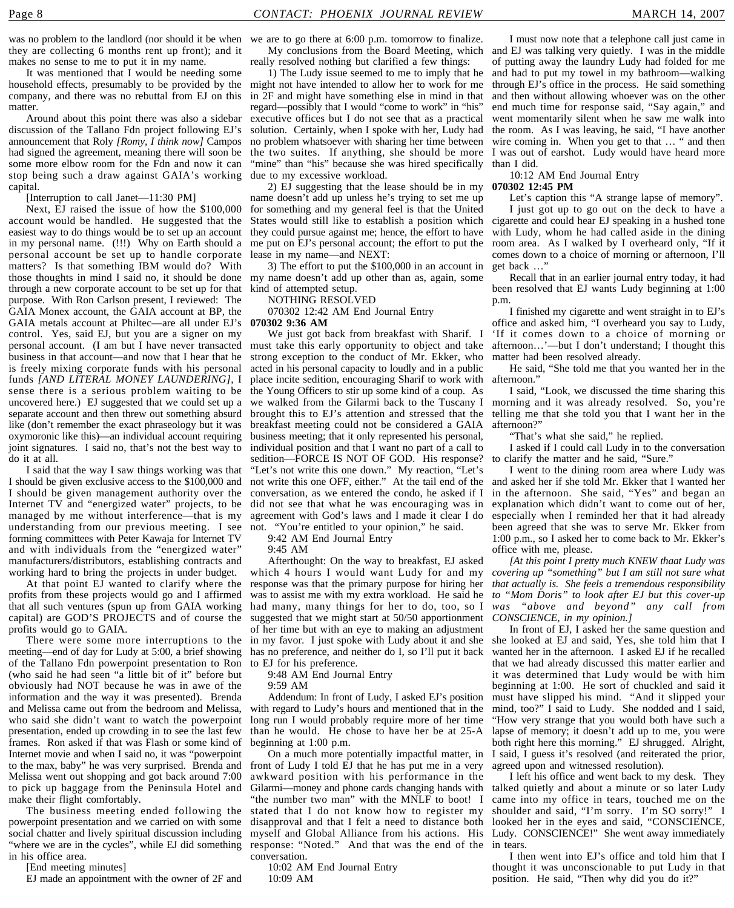they are collecting 6 months rent up front); and it makes no sense to me to put it in my name.

It was mentioned that I would be needing some household effects, presumably to be provided by the company, and there was no rebuttal from EJ on this matter.

Around about this point there was also a sidebar discussion of the Tallano Fdn project following EJ's announcement that Roly *[Romy, I think now]* Campos had signed the agreement, meaning there will soon be some more elbow room for the Fdn and now it can stop being such a draw against GAIA's working capital.

[Interruption to call Janet—11:30 PM]

Next, EJ raised the issue of how the \$100,000 account would be handled. He suggested that the easiest way to do things would be to set up an account in my personal name. (!!!) Why on Earth should a personal account be set up to handle corporate matters? Is that something IBM would do? With those thoughts in mind I said no, it should be done through a new corporate account to be set up for that purpose. With Ron Carlson present, I reviewed: The GAIA Monex account, the GAIA account at BP, the GAIA metals account at Philtec—are all under EJ's control. Yes, said EJ, but you are a signer on my personal account. (I am but I have never transacted business in that account—and now that I hear that he is freely mixing corporate funds with his personal funds *[AND LITERAL MONEY LAUNDERING]*, I sense there is a serious problem waiting to be uncovered here.) EJ suggested that we could set up a separate account and then threw out something absurd like (don't remember the exact phraseology but it was oxymoronic like this)—an individual account requiring joint signatures. I said no, that's not the best way to do it at all.

I said that the way I saw things working was that I should be given exclusive access to the \$100,000 and I should be given management authority over the Internet TV and "energized water" projects, to be managed by me without interference—that is my understanding from our previous meeting. I see forming committees with Peter Kawaja for Internet TV and with individuals from the "energized water" manufacturers/distributors, establishing contracts and working hard to bring the projects in under budget.

At that point EJ wanted to clarify where the profits from these projects would go and I affirmed capital) are GOD'S PROJECTS and of course the profits would go to GAIA.

There were some more interruptions to the meeting—end of day for Ludy at 5:00, a brief showing of the Tallano Fdn powerpoint presentation to Ron (who said he had seen "a little bit of it" before but obviously had NOT because he was in awe of the information and the way it was presented). Brenda and Melissa came out from the bedroom and Melissa, who said she didn't want to watch the powerpoint presentation, ended up crowding in to see the last few frames. Ron asked if that was Flash or some kind of Internet movie and when I said no, it was "powerpoint to the max, baby" he was very surprised. Brenda and Melissa went out shopping and got back around 7:00 to pick up baggage from the Peninsula Hotel and make their flight comfortably.

The business meeting ended following the powerpoint presentation and we carried on with some social chatter and lively spiritual discussion including "where we are in the cycles", while EJ did something in his office area.

[End meeting minutes]

EJ made an appointment with the owner of 2F and

was no problem to the landlord (nor should it be when we are to go there at 6:00 p.m. tomorrow to finalize.

really resolved nothing but clarified a few things:

1) The Ludy issue seemed to me to imply that he might not have intended to allow her to work for me in 2F and might have something else in mind in that regard—possibly that I would "come to work" in "his" executive offices but I do not see that as a practical solution. Certainly, when I spoke with her, Ludy had no problem whatsoever with sharing her time between the two suites. If anything, she should be more "mine" than "his" because she was hired specifically due to my excessive workload.

2) EJ suggesting that the lease should be in my name doesn't add up unless he's trying to set me up for something and my general feel is that the United they could pursue against me; hence, the effort to have me put on EJ's personal account; the effort to put the lease in my name—and NEXT:

3) The effort to put the \$100,000 in an account in my name doesn't add up other than as, again, some kind of attempted setup.

NOTHING RESOLVED

070302 12:42 AM End Journal Entry **070302 9:36 AM**

must take this early opportunity to object and take strong exception to the conduct of Mr. Ekker, who acted in his personal capacity to loudly and in a public place incite sedition, encouraging Sharif to work with afternoon." the Young Officers to stir up some kind of a coup. As we walked from the Gilarmi back to the Tuscany I morning and it was already resolved. So, you're brought this to EJ's attention and stressed that the telling me that she told you that I want her in the breakfast meeting could not be considered a GAIA business meeting; that it only represented his personal, individual position and that I want no part of a call to sedition—FORCE IS NOT OF GOD. His response? "Let's not write this one down." My reaction, "Let's not write this one OFF, either." At the tail end of the conversation, as we entered the condo, he asked if I did not see that what he was encouraging was in agreement with God's laws and I made it clear I do not. "You're entitled to your opinion," he said.

9:42 AM End Journal Entry

9:45 AM

that all such ventures (spun up from GAIA working had many, many things for her to do, too, so I Afterthought: On the way to breakfast, EJ asked which 4 hours I would want Ludy for and my response was that the primary purpose for hiring her was to assist me with my extra workload. He said he *to "Mom Doris" to look after EJ but this cover-up* suggested that we might start at 50/50 apportionment of her time but with an eye to making an adjustment in my favor. I just spoke with Ludy about it and she has no preference, and neither do I, so I'll put it back to EJ for his preference.

9:48 AM End Journal Entry

9:59 AM

Addendum: In front of Ludy, I asked EJ's position with regard to Ludy's hours and mentioned that in the long run I would probably require more of her time than he would. He chose to have her be at 25-A beginning at 1:00 p.m.

front of Ludy I told EJ that he has put me in a very awkward position with his performance in the "the number two man" with the MNLF to boot! I stated that I do not know how to register my disapproval and that I felt a need to distance both myself and Global Alliance from his actions. His response: "Noted." And that was the end of the in tears. conversation.

10:02 AM End Journal Entry 10:09 AM

My conclusions from the Board Meeting, which and EJ was talking very quietly. I was in the middle I must now note that a telephone call just came in of putting away the laundry Ludy had folded for me and had to put my towel in my bathroom—walking through EJ's office in the process. He said something and then without allowing whoever was on the other end much time for response said, "Say again," and went momentarily silent when he saw me walk into the room. As I was leaving, he said, "I have another wire coming in. When you get to that … " and then I was out of earshot. Ludy would have heard more than I did.

> 10:12 AM End Journal Entry **070302 12:45 PM**

Let's caption this "A strange lapse of memory".

States would still like to establish a position which cigarette and could hear EJ speaking in a hushed tone I just got up to go out on the deck to have a with Ludy, whom he had called aside in the dining room area. As I walked by I overheard only, "If it comes down to a choice of morning or afternoon, I'll get back …"

Recall that in an earlier journal entry today, it had been resolved that EJ wants Ludy beginning at 1:00 p.m.

We just got back from breakfast with Sharif. I 'If it comes down to a choice of morning or I finished my cigarette and went straight in to EJ's office and asked him, "I overheard you say to Ludy, afternoon…'—but I don't understand; I thought this matter had been resolved already.

He said, "She told me that you wanted her in the

I said, "Look, we discussed the time sharing this afternoon?"

"That's what she said," he replied.

I asked if I could call Ludy in to the conversation to clarify the matter and he said, "Sure."

I went to the dining room area where Ludy was and asked her if she told Mr. Ekker that I wanted her in the afternoon. She said, "Yes" and began an explanation which didn't want to come out of her, especially when I reminded her that it had already been agreed that she was to serve Mr. Ekker from 1:00 p.m., so I asked her to come back to Mr. Ekker's office with me, please.

*[At this point I pretty much KNEW thaat Ludy was covering up "something" but I am still not sure what that actually is. She feels a tremendous responsibility was "above and beyond" any call from CONSCIENCE, in my opinion.]*

On a much more potentially impactful matter, in I said, I guess it's resolved (and reiterated the prior, In front of EJ, I asked her the same question and she looked at EJ and said, Yes, she told him that I wanted her in the afternoon. I asked EJ if he recalled that we had already discussed this matter earlier and it was determined that Ludy would be with him beginning at 1:00. He sort of chuckled and said it must have slipped his mind. "And it slipped your mind, too?" I said to Ludy. She nodded and I said, "How very strange that you would both have such a lapse of memory; it doesn't add up to me, you were both right here this morning." EJ shrugged. Alright, agreed upon and witnessed resolution).

Gilarmi—money and phone cards changing hands with talked quietly and about a minute or so later Ludy I left his office and went back to my desk. They came into my office in tears, touched me on the shoulder and said, "I'm sorry. I'm SO sorry!" looked her in the eyes and said, "CONSCIENCE, Ludy. CONSCIENCE!" She went away immediately

> I then went into EJ's office and told him that I thought it was unconscionable to put Ludy in that position. He said, "Then why did you do it?"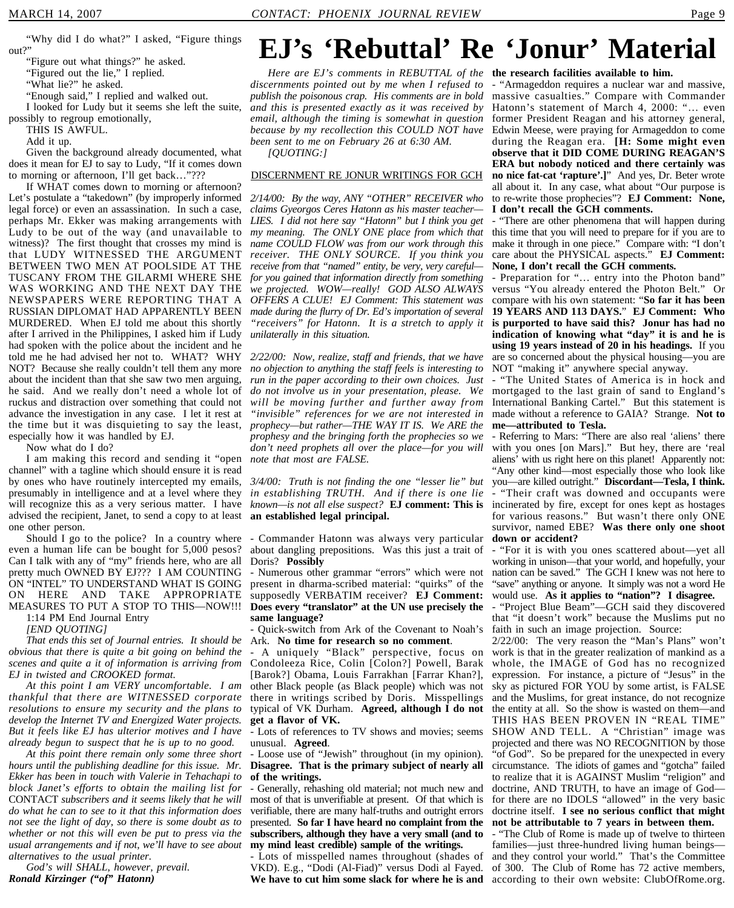"Figure out what things?" he asked.

"Figured out the lie," I replied.

"What lie?" he asked.

"Enough said," I replied and walked out.

I looked for Ludy but it seems she left the suite, possibly to regroup emotionally,

THIS IS AWFUL.

Add it up.

Given the background already documented, what does it mean for EJ to say to Ludy, "If it comes down to morning or afternoon, I'll get back…"???

If WHAT comes down to morning or afternoon? Let's postulate a "takedown" (by improperly informed legal force) or even an assassination. In such a case, perhaps Mr. Ekker was making arrangements with Ludy to be out of the way (and unavailable to witness)? The first thought that crosses my mind is that LUDY WITNESSED THE ARGUMENT BETWEEN TWO MEN AT POOLSIDE AT THE TUSCANY FROM THE GILARMI WHERE SHE WAS WORKING AND THE NEXT DAY THE NEWSPAPERS WERE REPORTING THAT A RUSSIAN DIPLOMAT HAD APPARENTLY BEEN MURDERED. When EJ told me about this shortly after I arrived in the Philippines, I asked him if Ludy had spoken with the police about the incident and he told me he had advised her not to. WHAT? WHY NOT? Because she really couldn't tell them any more about the incident than that she saw two men arguing, he said. And we really don't need a whole lot of ruckus and distraction over something that could not advance the investigation in any case. I let it rest at the time but it was disquieting to say the least, *prophecy—but rather—THE WAY IT IS. We ARE the* especially how it was handled by EJ.

Now what do I do?

I am making this record and sending it "open channel" with a tagline which should ensure it is read by ones who have routinely intercepted my emails, presumably in intelligence and at a level where they will recognize this as a very serious matter. I have advised the recipient, Janet, to send a copy to at least one other person.

Should I go to the police? In a country where even a human life can be bought for 5,000 pesos? Can I talk with any of "my" friends here, who are all pretty much OWNED BY EJ??? I AM COUNTING ON "INTEL" TO UNDERSTAND WHAT IS GOING ON HERE AND TAKE APPROPRIATE MEASURES TO PUT A STOP TO THIS—NOW!!!

1:14 PM End Journal Entry *[END QUOTING]*

*That ends this set of Journal entries. It should be obvious that there is quite a bit going on behind the scenes and quite a it of information is arriving from*

*EJ in twisted and CROOKED format. At this point I am VERY uncomfortable. I am thankful that there are WITNESSED corporate resolutions to ensure my security and the plans to develop the Internet TV and Energized Water projects. But it feels like EJ has ulterior motives and I have already begun to suspect that he is up to no good.*

*At this point there remain only some three short hours until the publishing deadline for this issue. Mr. Ekker has been in touch with Valerie in Tehachapi to block Janet's efforts to obtain the mailing list for* CONTACT *subscribers and it seems likely that he will do what he can to see to it that this information does not see the light of day, so there is some doubt as to whether or not this will even be put to press via the usual arrangements and if not, we'll have to see about alternatives to the usual printer.*

*God's will SHALL, however, prevail. Ronald Kirzinger ("of" Hatonn)*

## **EJ's 'Rebuttal' Re 'Jonur' Material**

*Here are EJ's comments in REBUTTAL of the* **the research facilities available to him.** *discernments pointed out by me when I refused to publish the poisonous crap. His comments are in bold and this is presented exactly as it was received by email, although the timing is somewhat in question because by my recollection this COULD NOT have been sent to me on February 26 at 6:30 AM.*

*[QUOTING:]*

#### DISCERNMENT RE JONUR WRITINGS FOR GCH

*2/14/00: By the way, ANY "OTHER" RECEIVER who claims Gyeorgos Ceres Hatonn as his master teacher— LIES. I did not here say "Hatonn" but I think you get my meaning. The ONLY ONE place from which that* this time that you will need to prepare for if you are to *name COULD FLOW was from our work through this receiver. THE ONLY SOURCE. If you think you receive from that "named" entity, be very, very careful for you gained that information directly from something we projected. WOW—really! GOD ALSO ALWAYS OFFERS A CLUE! EJ Comment: This statement was made during the flurry of Dr. Ed's importation of several "receivers" for Hatonn. It is a stretch to apply it* **is purported to have said this? Jonur has had no** *unilaterally in this situation.*

*2/22/00: Now, realize, staff and friends, that we have no objection to anything the staff feels is interesting to run in the paper according to their own choices. Just will be moving further and further away from "invisible" references for we are not interested in prophesy and the bringing forth the prophecies so we don't need prophets all over the place—for you will note that most are FALSE.*

*3/4/00: Truth is not finding the one "lesser lie" but in establishing TRUTH. And if there is one lie* **an established legal principal.**

- Commander Hatonn was always very particular about dangling prepositions. Was this just a trait of Doris? **Possibly**

- Numerous other grammar "errors" which were not present in dharma-scribed material: "quirks" of the supposedly VERBATIM receiver? **EJ Comment: Does every "translator" at the UN use precisely the same language?**

- Quick-switch from Ark of the Covenant to Noah's Ark. **No time for research so no comment**.

- A uniquely "Black" perspective, focus on Condoleeza Rice, Colin [Colon?] Powell, Barak [Barok?] Obama, Louis Farrakhan [Farrar Khan?], other Black people (as Black people) which was not there in writings scribed by Doris. Misspellings typical of VK Durham. **Agreed, although I do not get a flavor of VK.**

unusual. **Agreed**.

- Loose use of "Jewish" throughout (in my opinion). **Disagree. That is the primary subject of nearly all of the writings.**

- Generally, rehashing old material; not much new and most of that is unverifiable at present. Of that which is verifiable, there are many half-truths and outright errors presented. **So far I have heard no complaint from the subscribers, although they have a very small (and to my mind least credible) sample of the writings.**

- Lots of misspelled names throughout (shades of VKD). E.g., "Dodi (Al-Fiad)" versus Dodi al Fayed. We have to cut him some slack for where he is and according to their own website: ClubOfRome.org.

- "Armageddon requires a nuclear war and massive, massive casualties." Compare with Commander Hatonn's statement of March 4, 2000: "… even former President Reagan and his attorney general, Edwin Meese, were praying for Armageddon to come during the Reagan era. **[H: Some might even observe that it DID COME DURING REAGAN'S ERA but nobody noticed and there certainly was no nice fat-cat 'rapture'.]**" And yes, Dr. Beter wrote all about it. In any case, what about "Our purpose is to re-write those prophecies"? **EJ Comment: None, I don't recall the GCH comments.**

"There are other phenomena that will happen during make it through in one piece." Compare with: "I don't care about the PHYSICAL aspects." **EJ Comment: None, I don't recall the GCH comments.**

- Preparation for "… entry into the Photon band" versus "You already entered the Photon Belt." Or compare with his own statement: "**So far it has been 19 YEARS AND 113 DAYS.**" **EJ Comment: Who indication of knowing what "day" it is and he is using 19 years instead of 20 in his headings.** If you are so concerned about the physical housing—you are NOT "making it" anywhere special anyway.

*do not involve us in your presentation, please. We* mortgaged to the last grain of sand to England's "The United States of America is in hock and International Banking Cartel." But this statement is made without a reference to GAIA? Strange. **Not to me—attributed to Tesla.**

*known—is not all else suspect?* **EJ comment: This is** incinerated by fire, except for ones kept as hostages - Referring to Mars: "There are also real 'aliens' there with you ones [on Mars]." But hey, there are 'real aliens' with us right here on this planet! Apparently not: "Any other kind—most especially those who look like you—are killed outright." **Discordant—Tesla, I think.** "Their craft was downed and occupants were for various reasons." But wasn't there only ONE survivor, named EBE? **Was there only one shoot down or accident?**

- "For it is with you ones scattered about—yet all working in unison—that your world, and hopefully, your nation can be saved." The GCH I knew was not here to "save" anything or anyone. It simply was not a word He would use. **As it applies to "nation"? I disagree.**

- "Project Blue Beam"—GCH said they discovered that "it doesn't work" because the Muslims put no faith in such an image projection. Source:

- Lots of references to TV shows and movies; seems SHOW AND TELL. A "Christian" image was 2/22/00: The very reason the "Man's Plans" won't work is that in the greater realization of mankind as a whole, the IMAGE of God has no recognized expression. For instance, a picture of "Jesus" in the sky as pictured FOR YOU by some artist, is FALSE and the Muslims, for great instance, do not recognize the entity at all. So the show is wasted on them—and THIS HAS BEEN PROVEN IN "REAL TIME" projected and there was NO RECOGNITION by those "of God". So be prepared for the unexpected in every circumstance. The idiots of games and "gotcha" failed to realize that it is AGAINST Muslim "religion" and doctrine, AND TRUTH, to have an image of God for there are no IDOLS "allowed" in the very basic doctrine itself. **I see no serious conflict that might not be attributable to 7 years in between them.**

- "The Club of Rome is made up of twelve to thirteen families—just three-hundred living human beings and they control your world." That's the Committee of 300. The Club of Rome has 72 active members,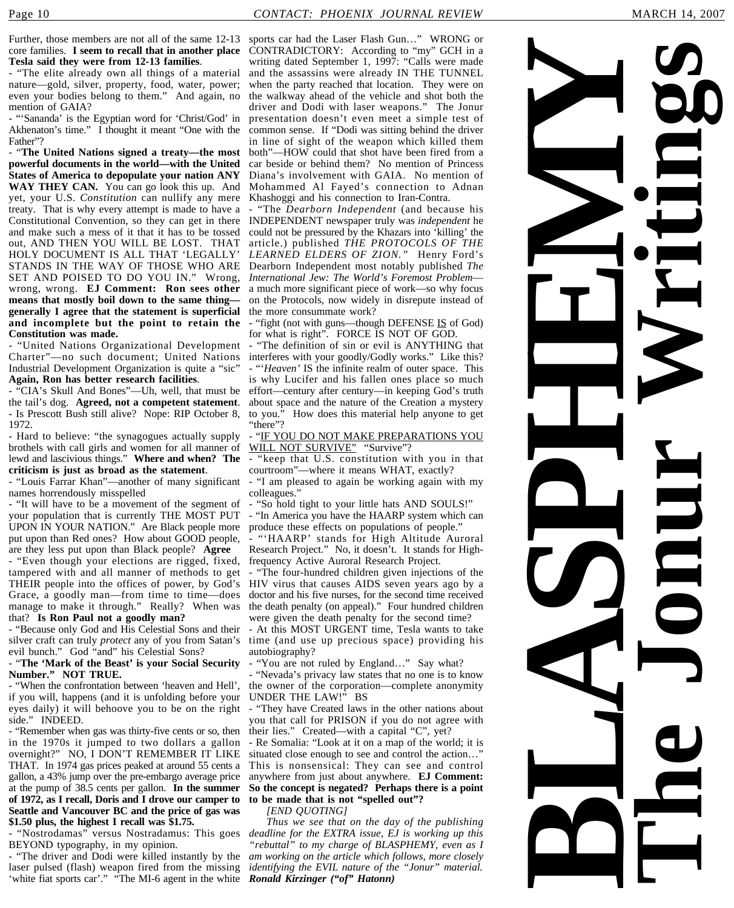Further, those members are not all of the same 12-13 sports car had the Laser Flash Gun..." WRONG or core families. **I seem to recall that in another place Tesla said they were from 12-13 families**.

- "The elite already own all things of a material nature—gold, silver, property, food, water, power; even your bodies belong to them." And again, no mention of GAIA?

- "'Sananda' is the Egyptian word for 'Christ/God' in Akhenaton's time." I thought it meant "One with the Father"?

- "**The United Nations signed a treaty—the most powerful documents in the world—with the United States of America to depopulate your nation ANY WAY THEY CAN.** You can go look this up. And yet, your U.S. *Constitution* can nullify any mere treaty. That is why every attempt is made to have a Constitutional Convention, so they can get in there INDEPENDENT newspaper truly was *independent* he and make such a mess of it that it has to be tossed out, AND THEN YOU WILL BE LOST. THAT HOLY DOCUMENT IS ALL THAT 'LEGALLY' STANDS IN THE WAY OF THOSE WHO ARE SET AND POISED TO DO YOU IN." Wrong, wrong, wrong. **EJ Comment: Ron sees other means that mostly boil down to the same thing generally I agree that the statement is superficial and incomplete but the point to retain the Constitution was made.**

- "United Nations Organizational Development Charter"—no such document; United Nations Industrial Development Organization is quite a "sic" **Again, Ron has better research facilities**.

- "CIA's Skull And Bones"—Uh, well, that must be the tail's dog. **Agreed, not a competent statement**. - Is Prescott Bush still alive? Nope: RIP October 8, 1972.

- Hard to believe: "the synagogues actually supply brothels with call girls and women for all manner of lewd and lascivious things." **Where and when? The criticism is just as broad as the statement**.

- "Louis Farrar Khan"—another of many significant names horrendously misspelled

- "It will have to be a movement of the segment of your population that is currently THE MOST PUT UPON IN YOUR NATION." Are Black people more put upon than Red ones? How about GOOD people, are they less put upon than Black people? **Agree**

- "Even though your elections are rigged, fixed, tampered with and all manner of methods to get Grace, a goodly man—from time to time—does manage to make it through." Really? When was that? **Is Ron Paul not a goodly man?**

- "Because only God and His Celestial Sons and their silver craft can truly *protect* any of you from Satan's evil bunch." God "and" his Celestial Sons?

#### - "**The 'Mark of the Beast' is your Social Security Number." NOT TRUE.**

- "When the confrontation between 'heaven and Hell', if you will, happens (and it is unfolding before your eyes daily) it will behoove you to be on the right side." INDEED.

- "Remember when gas was thirty-five cents or so, then in the 1970s it jumped to two dollars a gallon overnight?" NO, I DON'T REMEMBER IT LIKE THAT. In 1974 gas prices peaked at around 55 cents a gallon, a 43% jump over the pre-embargo average price at the pump of 38.5 cents per gallon. **In the summer of 1972, as I recall, Doris and I drove our camper to Seattle and Vancouver BC and the price of gas was \$1.50 plus, the highest I recall was \$1.75.**

- "Nostrodamas" versus Nostradamus: This goes BEYOND typography, in my opinion.

- "The driver and Dodi were killed instantly by the laser pulsed (flash) weapon fired from the missing 'white fiat sports car'." "The MI-6 agent in the white *Ronald Kirzinger ("of" Hatonn)* 

CONTRADICTORY: According to "my" GCH in a writing dated September 1, 1997: "Calls were made and the assassins were already IN THE TUNNEL when the party reached that location. They were on the walkway ahead of the vehicle and shot both the driver and Dodi with laser weapons." The Jonur presentation doesn't even meet a simple test of common sense. If "Dodi was sitting behind the driver in line of sight of the weapon which killed them both"—HOW could that shot have been fired from a car beside or behind them? No mention of Princess Diana's involvement with GAIA. No mention of Mohammed Al Fayed's connection to Adnan Khashoggi and his connection to Iran-Contra.

- "The *Dearborn Independent* (and because his could not be pressured by the Khazars into 'killing' the article.) published *THE PROTOCOLS OF THE LEARNED ELDERS OF ZION."* Henry Ford's Dearborn Independent most notably published *The International Jew: The World's Foremost Problem* a much more significant piece of work—so why focus on the Protocols, now widely in disrepute instead of the more consummate work?

- "fight (not with guns—though DEFENSE IS of God) for what is right". FORCE IS NOT OF GOD.

- "The definition of sin or evil is ANYTHING that interferes with your goodly/Godly works." Like this?

- "'*Heaven'* IS the infinite realm of outer space. This is why Lucifer and his fallen ones place so much effort—century after century—in keeping God's truth about space and the nature of the Creation a mystery to you." How does this material help anyone to get "there"?

- "IF YOU DO NOT MAKE PREPARATIONS YOU WILL NOT SURVIVE" "Survive"?

"keep that U.S. constitution with you in that courtroom"—where it means WHAT, exactly?

- "I am pleased to again be working again with my colleagues.'

- "So hold tight to your little hats AND SOULS!"

- "In America you have the HAARP system which can produce these effects on populations of people."

"'HAARP' stands for High Altitude Auroral Research Project." No, it doesn't. It stands for Highfrequency Active Auroral Research Project.

THEIR people into the offices of power, by God's HIV virus that causes AIDS seven years ago by a - "The four-hundred children given injections of the doctor and his five nurses, for the second time received the death penalty (on appeal)." Four hundred children were given the death penalty for the second time?

> - At this MOST URGENT time, Tesla wants to take time (and use up precious space) providing his autobiography?

"You are not ruled by England..." Say what?

- "Nevada's privacy law states that no one is to know the owner of the corporation—complete anonymity UNDER THE LAW!" BS

- "They have Created laws in the other nations about you that call for PRISON if you do not agree with their lies." Created—with a capital "C", yet?

- Re Somalia: "Look at it on a map of the world; it is situated close enough to see and control the action...' This is nonsensical: They can see and control anywhere from just about anywhere. **EJ Comment: So the concept is negated? Perhaps there is a point to be made that is not "spelled out"?**

*[END QUOTING]*

*Thus we see that on the day of the publishing deadline for the EXTRA issue, EJ is working up this "rebuttal" to my charge of BLASPHEMY, even as I am working on the article which follows, more closely identifying the EVIL nature of the "Jonur" material.*

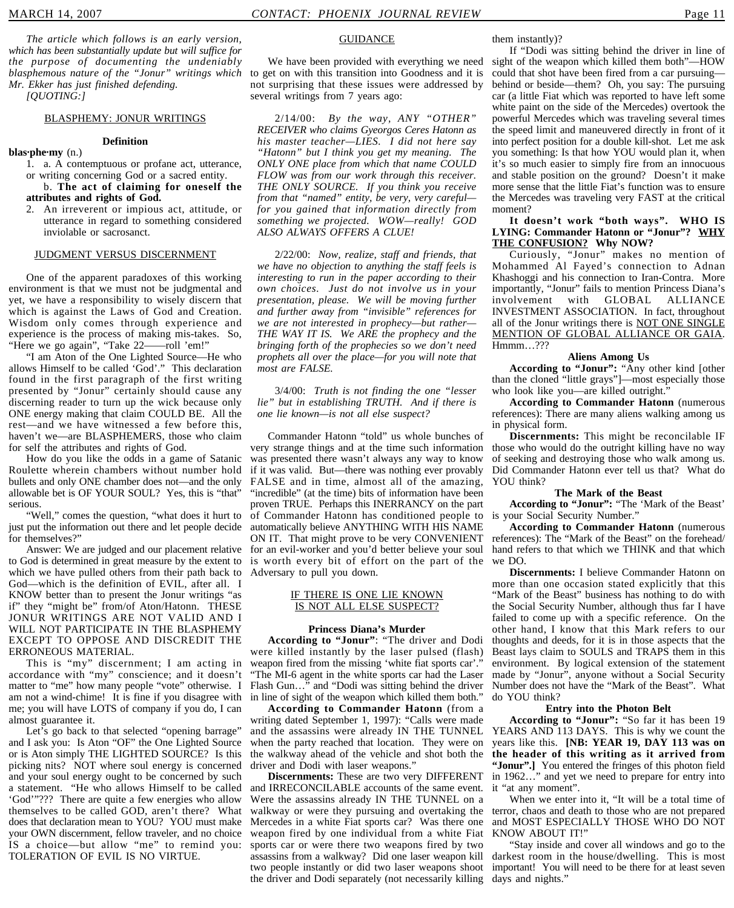*The article which follows is an early version, which has been substantially update but will suffice for the purpose of documenting the undeniably blasphemous nature of the "Jonur" writings which Mr. Ekker has just finished defending.*

*[QUOTING:]*

#### BLASPHEMY: JONUR WRITINGS

#### **Definition**

#### **blas·phe·my** (n.)

1. a. A contemptuous or profane act, utterance, or writing concerning God or a sacred entity.

#### b. **The act of claiming for oneself the attributes and rights of God.**

2. An irreverent or impious act, attitude, or utterance in regard to something considered inviolable or sacrosanct.

#### JUDGMENT VERSUS DISCERNMENT

One of the apparent paradoxes of this working environment is that we must not be judgmental and yet, we have a responsibility to wisely discern that which is against the Laws of God and Creation. Wisdom only comes through experience and experience is the process of making mis-takes. So, "Here we go again", "Take 22——roll 'em!"

"I am Aton of the One Lighted Source—He who allows Himself to be called 'God'." This declaration found in the first paragraph of the first writing presented by "Jonur" certainly should cause any discerning reader to turn up the wick because only ONE energy making that claim COULD BE. All the rest—and we have witnessed a few before this, haven't we—are BLASPHEMERS, those who claim for self the attributes and rights of God.

How do you like the odds in a game of Satanic Roulette wherein chambers without number hold bullets and only ONE chamber does not—and the only allowable bet is OF YOUR SOUL? Yes, this is "that" serious.

"Well," comes the question, "what does it hurt to just put the information out there and let people decide for themselves?"

Answer: We are judged and our placement relative to God is determined in great measure by the extent to which we have pulled others from their path back to God—which is the definition of EVIL, after all. I KNOW better than to present the Jonur writings "as if" they "might be" from/of Aton/Hatonn. THESE JONUR WRITINGS ARE NOT VALID AND I WILL NOT PARTICIPATE IN THE BLASPHEMY EXCEPT TO OPPOSE AND DISCREDIT THE ERRONEOUS MATERIAL.

This is "my" discernment; I am acting in accordance with "my" conscience; and it doesn't matter to "me" how many people "vote" otherwise. I am not a wind-chime! It is fine if you disagree with in line of sight of the weapon which killed them both." me; you will have LOTS of company if you do, I can almost guarantee it.

Let's go back to that selected "opening barrage" and I ask you: Is Aton "OF" the One Lighted Source or is Aton simply THE LIGHTED SOURCE? Is this picking nits? NOT where soul energy is concerned and your soul energy ought to be concerned by such a statement. "He who allows Himself to be called 'God'"??? There are quite a few energies who allow themselves to be called GOD, aren't there? What does that declaration mean to YOU? YOU must make your OWN discernment, fellow traveler, and no choice IS a choice—but allow "me" to remind you: TOLERATION OF EVIL IS NO VIRTUE.

#### **GUIDANCE**

to get on with this transition into Goodness and it is not surprising that these issues were addressed by several writings from 7 years ago:

2/14/00: *By the way, ANY "OTHER" RECEIVER who claims Gyeorgos Ceres Hatonn as his master teacher—LIES. I did not here say "Hatonn" but I think you get my meaning. The ONLY ONE place from which that name COULD FLOW was from our work through this receiver. THE ONLY SOURCE. If you think you receive from that "named" entity, be very, very careful for you gained that information directly from something we projected. WOW—really! GOD ALSO ALWAYS OFFERS A CLUE!*

2/22/00: *Now, realize, staff and friends, that we have no objection to anything the staff feels is interesting to run in the paper according to their own choices. Just do not involve us in your presentation, please. We will be moving further and further away from "invisible" references for we are not interested in prophecy—but rather— THE WAY IT IS. We ARE the prophecy and the bringing forth of the prophecies so we don't need prophets all over the place—for you will note that most are FALSE.*

#### 3/4/00: *Truth is not finding the one "lesser lie" but in establishing TRUTH. And if there is one lie known—is not all else suspect?*

Commander Hatonn "told" us whole bunches of very strange things and at the time such information was presented there wasn't always any way to know if it was valid. But—there was nothing ever provably FALSE and in time, almost all of the amazing, "incredible" (at the time) bits of information have been proven TRUE. Perhaps this INERRANCY on the part of Commander Hatonn has conditioned people to is your Social Security Number." automatically believe ANYTHING WITH HIS NAME ON IT. That might prove to be very CONVENIENT for an evil-worker and you'd better believe your soul is worth every bit of effort on the part of the we DO. Adversary to pull you down.

#### IF THERE IS ONE LIE KNOWN IS NOT ALL ELSE SUSPECT?

#### **Princess Diana's Murder**

**According to "Jonur"**: "The driver and Dodi were killed instantly by the laser pulsed (flash) weapon fired from the missing 'white fiat sports car'." "The MI-6 agent in the white sports car had the Laser Flash Gun…" and "Dodi was sitting behind the driver

**According to Commander Hatonn** (from a writing dated September 1, 1997): "Calls were made and the assassins were already IN THE TUNNEL when the party reached that location. They were on the walkway ahead of the vehicle and shot both the driver and Dodi with laser weapons."

**Discernments:** These are two very DIFFERENT and IRRECONCILABLE accounts of the same event. Were the assassins already IN THE TUNNEL on a walkway or were they pursuing and overtaking the terror, chaos and death to those who are not prepared Mercedes in a white Fiat sports car? Was there one weapon fired by one individual from a white Fiat sports car or were there two weapons fired by two assassins from a walkway? Did one laser weapon kill two people instantly or did two laser weapons shoot the driver and Dodi separately (not necessarily killing days and nights."

them instantly)?

We have been provided with everything we need sight of the weapon which killed them both"—HOW If "Dodi was sitting behind the driver in line of could that shot have been fired from a car pursuing behind or beside—them? Oh, you say: The pursuing car (a little Fiat which was reported to have left some white paint on the side of the Mercedes) overtook the powerful Mercedes which was traveling several times the speed limit and maneuvered directly in front of it into perfect position for a double kill-shot. Let me ask you something: Is that how YOU would plan it, when it's so much easier to simply fire from an innocuous and stable position on the ground? Doesn't it make more sense that the little Fiat's function was to ensure the Mercedes was traveling very FAST at the critical moment?

#### **It doesn't work "both ways". WHO IS LYING: Commander Hatonn or "Jonur"? WHY THE CONFUSION? Why NOW?**

Curiously, "Jonur" makes no mention of Mohammed Al Fayed's connection to Adnan Khashoggi and his connection to Iran-Contra. More importantly, "Jonur" fails to mention Princess Diana's involvement with GLOBAL ALLIANCE INVESTMENT ASSOCIATION. In fact, throughout all of the Jonur writings there is NOT ONE SINGLE MENTION OF GLOBAL ALLIANCE OR GAIA. Hmmm…???

#### **Aliens Among Us**

**According to "Jonur":** "Any other kind [other than the cloned "little grays"]—most especially those who look like you—are killed outright."

**According to Commander Hatonn** (numerous references): There are many aliens walking among us in physical form.

**Discernments:** This might be reconcilable IF those who would do the outright killing have no way of seeking and destroying those who walk among us. Did Commander Hatonn ever tell us that? What do YOU think?

#### **The Mark of the Beast**

**According to "Jonur":** "The 'Mark of the Beast'

**According to Commander Hatonn** (numerous references): The "Mark of the Beast" on the forehead/ hand refers to that which we THINK and that which

**Discernments:** I believe Commander Hatonn on more than one occasion stated explicitly that this "Mark of the Beast" business has nothing to do with the Social Security Number, although thus far I have failed to come up with a specific reference. On the other hand, I know that this Mark refers to our thoughts and deeds, for it is in those aspects that the Beast lays claim to SOULS and TRAPS them in this environment. By logical extension of the statement made by "Jonur", anyone without a Social Security Number does not have the "Mark of the Beast". What do YOU think?

#### **Entry into the Photon Belt**

**According to "Jonur":** "So far it has been 19 YEARS AND 113 DAYS. This is why we count the years like this. **[NB: YEAR 19, DAY 113 was on the header of this writing as it arrived from** "Jonur".] You entered the fringes of this photon field in 1962…" and yet we need to prepare for entry into it "at any moment".

When we enter into it, "It will be a total time of and MOST ESPECIALLY THOSE WHO DO NOT KNOW ABOUT IT!"

"Stay inside and cover all windows and go to the darkest room in the house/dwelling. This is most important! You will need to be there for at least seven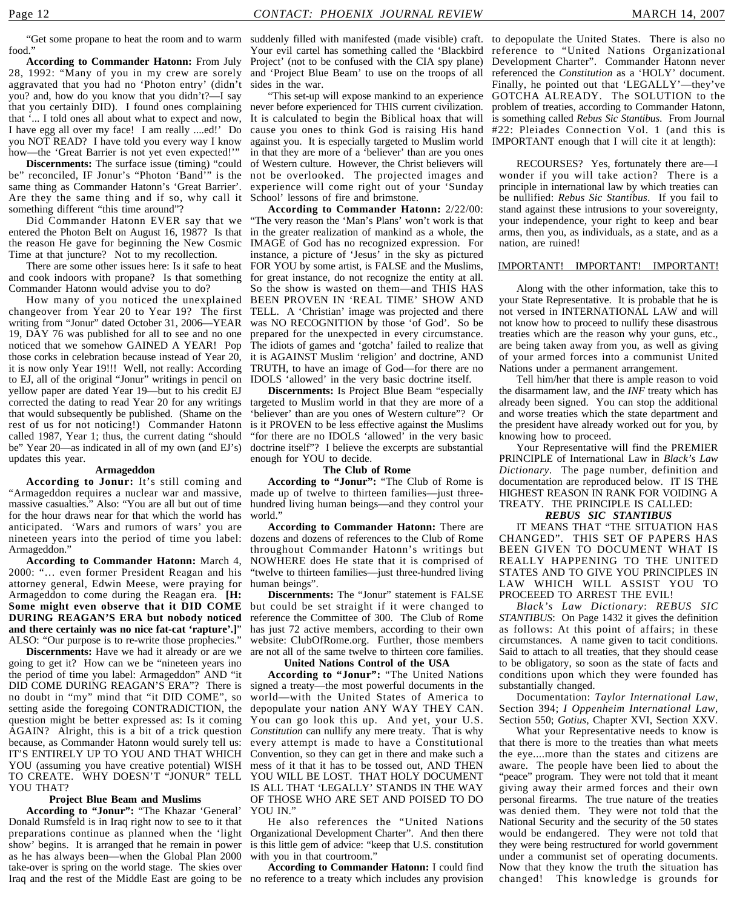food."

**According to Commander Hatonn:** From July 28, 1992: "Many of you in my crew are sorely aggravated that you had no 'Photon entry' (didn't you? and, how do you know that you didn't?—I say that you certainly DID). I found ones complaining that '... I told ones all about what to expect and now, I have egg all over my face! I am really ....ed!' Do you NOT READ? I have told you every way I know how—the 'Great Barrier is not yet even expected!'"

**Discernments:** The surface issue (timing) "could be" reconciled, IF Jonur's "Photon 'Band'" is the same thing as Commander Hatonn's 'Great Barrier'. Are they the same thing and if so, why call it something different "this time around"?

Did Commander Hatonn EVER say that we entered the Photon Belt on August 16, 1987? Is that the reason He gave for beginning the New Cosmic Time at that juncture? Not to my recollection.

There are some other issues here: Is it safe to heat and cook indoors with propane? Is that something Commander Hatonn would advise you to do?

How many of you noticed the unexplained changeover from Year 20 to Year 19? The first writing from "Jonur" dated October 31, 2006—YEAR 19, DAY 76 was published for all to see and no one noticed that we somehow GAINED A YEAR! Pop those corks in celebration because instead of Year 20, it is now only Year 19!!! Well, not really: According to EJ, all of the original "Jonur" writings in pencil on yellow paper are dated Year 19—but to his credit EJ corrected the dating to read Year 20 for any writings that would subsequently be published. (Shame on the rest of us for not noticing!) Commander Hatonn called 1987, Year 1; thus, the current dating "should be" Year 20—as indicated in all of my own (and EJ's) updates this year.

#### **Armageddon**

**According to Jonur:** It's still coming and "Armageddon requires a nuclear war and massive, massive casualties." Also: "You are all but out of time for the hour draws near for that which the world has anticipated. 'Wars and rumors of wars' you are nineteen years into the period of time you label: Armageddon."

**According to Commander Hatonn:** March 4, 2000: "… even former President Reagan and his attorney general, Edwin Meese, were praying for Armageddon to come during the Reagan era. **[H: Some might even observe that it DID COME DURING REAGAN'S ERA but nobody noticed and there certainly was no nice fat-cat 'rapture'.]**" ALSO: "Our purpose is to re-write those prophecies."

**Discernments:** Have we had it already or are we going to get it? How can we be "nineteen years ino the period of time you label: Armageddon" AND "it DID COME DURING REAGAN'S ERA"? There is no doubt in "my" mind that "it DID COME", so setting aside the foregoing CONTRADICTION, the question might be better expressed as: Is it coming AGAIN? Alright, this is a bit of a trick question because, as Commander Hatonn would surely tell us: IT'S ENTIRELY UP TO YOU AND THAT WHICH YOU (assuming you have creative potential) WISH TO CREATE. WHY DOESN'T "JONUR" TELL YOU THAT?

#### **Project Blue Beam and Muslims**

**According to "Jonur":** "The Khazar 'General' Donald Rumsfeld is in Iraq right now to see to it that preparations continue as planned when the 'light Organizational Development Charter". And then there show' begins. It is arranged that he remain in power as he has always been—when the Global Plan 2000 take-over is spring on the world stage. The skies over Iraq and the rest of the Middle East are going to be no reference to a treaty which includes any provision

"Get some propane to heat the room and to warm suddenly filled with manifested (made visible) craft. to depopulate the United States. There is also no Project' (not to be confused with the CIA spy plane) and 'Project Blue Beam' to use on the troops of all sides in the war.

> "This set-up will expose mankind to an experience never before experienced for THIS current civilization. It is calculated to begin the Biblical hoax that will cause you ones to think God is raising His hand against you. It is especially targeted to Muslim world IMPORTANT enough that I will cite it at length): in that they are more of a 'believer' than are you ones of Western culture. However, the Christ believers will not be overlooked. The projected images and experience will come right out of your 'Sunday School' lessons of fire and brimstone.

**According to Commander Hatonn:** 2/22/00: "The very reason the 'Man's Plans' won't work is that in the greater realization of mankind as a whole, the IMAGE of God has no recognized expression. For instance, a picture of 'Jesus' in the sky as pictured FOR YOU by some artist, is FALSE and the Muslims, for great instance, do not recognize the entity at all. So the show is wasted on them—and THIS HAS BEEN PROVEN IN 'REAL TIME' SHOW AND TELL. A 'Christian' image was projected and there was NO RECOGNITION by those 'of God'. So be prepared for the unexpected in every circumstance. The idiots of games and 'gotcha' failed to realize that it is AGAINST Muslim 'religion' and doctrine, AND TRUTH, to have an image of God—for there are no IDOLS 'allowed' in the very basic doctrine itself.

**Discernments:** Is Project Blue Beam "especially targeted to Muslim world in that they are more of a 'believer' than are you ones of Western culture"? Or is it PROVEN to be less effective against the Muslims "for there are no IDOLS 'allowed' in the very basic doctrine itself"? I believe the excerpts are substantial enough for YOU to decide.

#### **The Club of Rome**

**According to "Jonur":** "The Club of Rome is made up of twelve to thirteen families—just threehundred living human beings—and they control your world."

**According to Commander Hatonn:** There are dozens and dozens of references to the Club of Rome throughout Commander Hatonn's writings but NOWHERE does He state that it is comprised of "twelve to thirteen families—just three-hundred living human beings".

**Discernments:** The "Jonur" statement is FALSE but could be set straight if it were changed to reference the Committee of 300. The Club of Rome has just 72 active members, according to their own website: ClubOfRome.org. Further, those members are not all of the same twelve to thirteen core families.

#### **United Nations Control of the USA**

**According to "Jonur":** "The United Nations signed a treaty—the most powerful documents in the world—with the United States of America to depopulate your nation ANY WAY THEY CAN. You can go look this up. And yet, your U.S. *Constitution* can nullify any mere treaty. That is why every attempt is made to have a Constitutional Convention, so they can get in there and make such a mess of it that it has to be tossed out, AND THEN YOU WILL BE LOST. THAT HOLY DOCUMENT IS ALL THAT 'LEGALLY' STANDS IN THE WAY OF THOSE WHO ARE SET AND POISED TO DO YOU IN."

He also references the "United Nations is this little gem of advice: "keep that U.S. constitution with you in that courtroom."

**According to Commander Hatonn:** I could find

Your evil cartel has something called the 'Blackbird reference to "United Nations Organizational Development Charter". Commander Hatonn never referenced the *Constitution* as a 'HOLY' document. Finally, he pointed out that 'LEGALLY'—they've GOTCHA ALREADY. The SOLUTION to the problem of treaties, according to Commander Hatonn, is something called *Rebus Sic Stantibus*. From Journal #22: Pleiades Connection Vol. 1 (and this is

> RECOURSES? Yes, fortunately there are—I wonder if you will take action? There is a principle in international law by which treaties can be nullified: *Rebus Sic Stantibus*. If you fail to stand against these intrusions to your sovereignty, your independence, your right to keep and bear arms, then you, as individuals, as a state, and as a nation, are ruined!

#### IMPORTANT! IMPORTANT! IMPORTANT!

Along with the other information, take this to your State Representative. It is probable that he is not versed in INTERNATIONAL LAW and will not know how to proceed to nullify these disastrous treaties which are the reason why your guns, etc., are being taken away from you, as well as giving of your armed forces into a communist United Nations under a permanent arrangement.

Tell him/her that there is ample reason to void the disarmament law, and the *INF* treaty which has already been signed. You can stop the additional and worse treaties which the state department and the president have already worked out for you, by knowing how to proceed.

Your Representative will find the PREMIER PRINCIPLE of International Law in *Black's Law Dictionary*. The page number, definition and documentation are reproduced below. IT IS THE HIGHEST REASON IN RANK FOR VOIDING A TREATY. THE PRINCIPLE IS CALLED:

#### *REBUS SIC STANTIBUS*

IT MEANS THAT "THE SITUATION HAS CHANGED". THIS SET OF PAPERS HAS BEEN GIVEN TO DOCUMENT WHAT IS REALLY HAPPENING TO THE UNITED STATES AND TO GIVE YOU PRINCIPLES IN LAW WHICH WILL ASSIST YOU TO PROCEEED TO ARREST THE EVIL!

*Black's Law Dictionary*: *REBUS SIC STANTIBUS*: On Page 1432 it gives the definition as follows: At this point of affairs; in these circumstances. A name given to tacit conditions. Said to attach to all treaties, that they should cease to be obligatory, so soon as the state of facts and conditions upon which they were founded has substantially changed.

Documentation: *Taylor International Law*, Section 394; *I Oppenheim International Law*, Section 550; *Gotius*, Chapter XVI, Section XXV.

What your Representative needs to know is that there is more to the treaties than what meets the eye....more than the states and citizens are aware. The people have been lied to about the "peace" program. They were not told that it meant giving away their armed forces and their own personal firearms. The true nature of the treaties was denied them. They were not told that the National Security and the security of the 50 states would be endangered. They were not told that they were being restructured for world government under a communist set of operating documents. Now that they know the truth the situation has changed! This knowledge is grounds for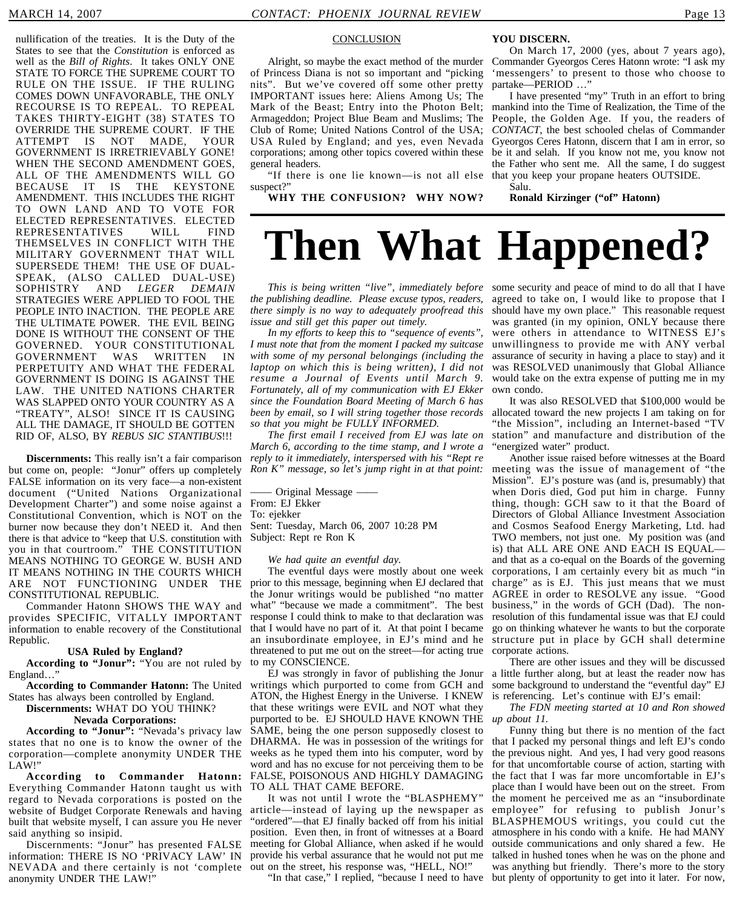nullification of the treaties. It is the Duty of the States to see that the *Constitution* is enforced as well as the *Bill of Rights*. It takes ONLY ONE STATE TO FORCE THE SUPREME COURT TO RULE ON THE ISSUE. IF THE RULING COMES DOWN UNFAVORABLE, THE ONLY RECOURSE IS TO REPEAL. TO REPEAL TAKES THIRTY-EIGHT (38) STATES TO OVERRIDE THE SUPREME COURT. IF THE ATTEMPT IS NOT MADE, YOUR GOVERNMENT IS IRRETRIEVABLY GONE! WHEN THE SECOND AMENDMENT GOES, ALL OF THE AMENDMENTS WILL GO BECAUSE IT IS THE KEYSTONE AMENDMENT. THIS INCLUDES THE RIGHT TO OWN LAND AND TO VOTE FOR ELECTED REPRESENTATIVES. ELECTED REPRESENTATIVES WILL FIND THEMSELVES IN CONFLICT WITH THE MILITARY GOVERNMENT THAT WILL SUPERSEDE THEM! THE USE OF DUAL-SPEAK, (ALSO CALLED DUAL-USE) SOPHISTRY AND *LEGER DEMAIN* STRATEGIES WERE APPLIED TO FOOL THE PEOPLE INTO INACTION. THE PEOPLE ARE THE ULTIMATE POWER. THE EVIL BEING DONE IS WITHOUT THE CONSENT OF THE GOVERNED. YOUR CONSTITUTIONAL GOVERNMENT WAS WRITTEN IN PERPETUITY AND WHAT THE FEDERAL GOVERNMENT IS DOING IS AGAINST THE LAW. THE UNITED NATIONS CHARTER WAS SLAPPED ONTO YOUR COUNTRY AS A "TREATY", ALSO! SINCE IT IS CAUSING ALL THE DAMAGE, IT SHOULD BE GOTTEN RID OF, ALSO, BY *REBUS SIC STANTIBUS*!!!

**Discernments:** This really isn't a fair comparison but come on, people: "Jonur" offers up completely FALSE information on its very face—a non-existent document ("United Nations Organizational Development Charter") and some noise against a From: EJ Ekker Constitutional Convention, which is NOT on the burner now because they don't NEED it. And then there is that advice to "keep that U.S. constitution with you in that courtroom." THE CONSTITUTION MEANS NOTHING TO GEORGE W. BUSH AND IT MEANS NOTHING IN THE COURTS WHICH ARE NOT FUNCTIONING UNDER THE CONSTITUTIONAL REPUBLIC.

Commander Hatonn SHOWS THE WAY and provides SPECIFIC, VITALLY IMPORTANT information to enable recovery of the Constitutional Republic.

#### **USA Ruled by England?**

**According to "Jonur":** "You are not ruled by England…"

**According to Commander Hatonn:** The United States has always been controlled by England.

**Discernments:** WHAT DO YOU THINK?

#### **Nevada Corporations:**

**According to "Jonur":** "Nevada's privacy law states that no one is to know the owner of the corporation—complete anonymity UNDER THE LAW!"

**According to Commander Hatonn:** Everything Commander Hatonn taught us with regard to Nevada corporations is posted on the website of Budget Corporate Renewals and having built that website myself, I can assure you He never said anything so insipid.

Discernments: "Jonur" has presented FALSE information: THERE IS NO 'PRIVACY LAW' IN NEVADA and there certainly is not 'complete anonymity UNDER THE LAW!"

#### **CONCLUSION**

of Princess Diana is not so important and "picking nits". But we've covered off some other pretty IMPORTANT issues here: Aliens Among Us; The Mark of the Beast; Entry into the Photon Belt; Armageddon; Project Blue Beam and Muslims; The Club of Rome; United Nations Control of the USA; USA Ruled by England; and yes, even Nevada corporations; among other topics covered within these general headers.

"If there is one lie known—is not all else that you keep your propane heaters OUTSIDE. suspect?"

**WHY THE CONFUSION? WHY NOW?**

#### **YOU DISCERN.**

Alright, so maybe the exact method of the murder Commander Gyeorgos Ceres Hatonn wrote: "I ask my On March 17, 2000 (yes, about 7 years ago), 'messengers' to present to those who choose to partake—PERIOD …"

I have presented "my" Truth in an effort to bring mankind into the Time of Realization, the Time of the People, the Golden Age. If you, the readers of *CONTACT*, the best schooled chelas of Commander Gyeorgos Ceres Hatonn, discern that I am in error, so be it and selah. If you know not me, you know not the Father who sent me. All the same, I do suggest

Salu.

**Ronald Kirzinger ("of" Hatonn)**

## **Then What Happened?**

*This is being written "live", immediately before* some security and peace of mind to do all that I have *the publishing deadline. Please excuse typos, readers, there simply is no way to adequately proofread this issue and still get this paper out timely.*

*In my efforts to keep this to "sequence of events", I must note that from the moment I packed my suitcase with some of my personal belongings (including the laptop on which this is being written), I did not resume a Journal of Events until March 9. Fortunately, all of my communication with EJ Ekker since the Foundation Board Meeting of March 6 has been by email, so I will string together those records so that you might be FULLY INFORMED.*

*The first email I received from EJ was late on March 6, according to the time stamp, and I wrote a reply to it immediately, interspersed with his "Rept re Ron K" message, so let's jump right in at that point:*

—— Original Message —— To: ejekker Sent: Tuesday, March 06, 2007 10:28 PM Subject: Rept re Ron K

#### *We had quite an eventful day.*

The eventful days were mostly about one week prior to this message, beginning when EJ declared that the Jonur writings would be published "no matter what" "because we made a commitment". The best response I could think to make to that declaration was that I would have no part of it. At that point I became an insubordinate employee, in EJ's mind and he threatened to put me out on the street—for acting true to my CONSCIENCE.

EJ was strongly in favor of publishing the Jonur writings which purported to come from GCH and ATON, the Highest Energy in the Universe. I KNEW that these writings were EVIL and NOT what they purported to be. EJ SHOULD HAVE KNOWN THE SAME, being the one person supposedly closest to DHARMA. He was in possession of the writings for weeks as he typed them into his computer, word by word and has no excuse for not perceiving them to be FALSE, POISONOUS AND HIGHLY DAMAGING TO ALL THAT CAME BEFORE.

It was not until I wrote the "BLASPHEMY" article—instead of laying up the newspaper as "ordered"—that EJ finally backed off from his initial position. Even then, in front of witnesses at a Board meeting for Global Alliance, when asked if he would provide his verbal assurance that he would not put me out on the street, his response was, "HELL, NO!"

agreed to take on, I would like to propose that I should have my own place." This reasonable request was granted (in my opinion, ONLY because there were others in attendance to WITNESS EJ's unwillingness to provide me with ANY verbal assurance of security in having a place to stay) and it was RESOLVED unanimously that Global Alliance would take on the extra expense of putting me in my own condo.

It was also RESOLVED that \$100,000 would be allocated toward the new projects I am taking on for 'the Mission", including an Internet-based "TV station" and manufacture and distribution of the "energized water" product.

Another issue raised before witnesses at the Board meeting was the issue of management of "the Mission". EJ's posture was (and is, presumably) that when Doris died, God put him in charge. Funny thing, though: GCH saw to it that the Board of Directors of Global Alliance Investment Association and Cosmos Seafood Energy Marketing, Ltd. had TWO members, not just one. My position was (and is) that ALL ARE ONE AND EACH IS EQUAL and that as a co-equal on the Boards of the governing corporations, I am certainly every bit as much "in charge" as is EJ. This just means that we must AGREE in order to RESOLVE any issue. "Good business," in the words of GCH (Dad). The nonresolution of this fundamental issue was that EJ could go on thinking whatever he wants to but the corporate structure put in place by GCH shall determine corporate actions.

There are other issues and they will be discussed a little further along, but at least the reader now has some background to understand the "eventful day" EJ is referencing. Let's continue with EJ's email:

*The FDN meeting started at 10 and Ron showed up about 11.*

"In that case," I replied, "because I need to have but plenty of opportunity to get into it later. For now,Funny thing but there is no mention of the fact that I packed my personal things and left EJ's condo the previous night. And yes, I had very good reasons for that uncomfortable course of action, starting with the fact that I was far more uncomfortable in EJ's place than I would have been out on the street. From the moment he perceived me as an "insubordinate employee" for refusing to publish Jonur's BLASPHEMOUS writings, you could cut the atmosphere in his condo with a knife. He had MANY outside communications and only shared a few. He talked in hushed tones when he was on the phone and was anything but friendly. There's more to the story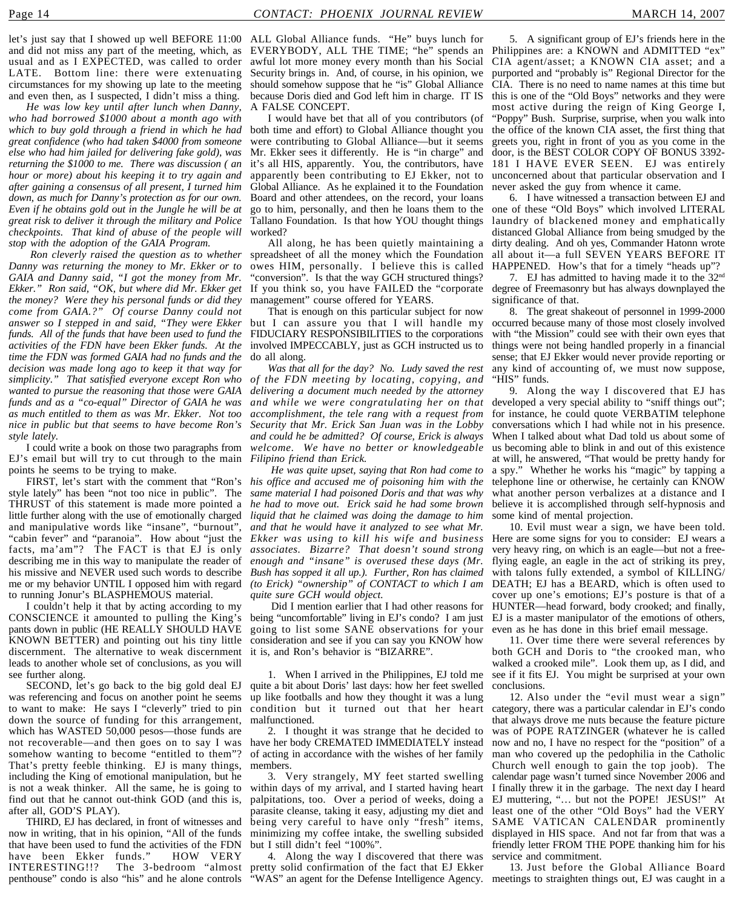let's just say that I showed up well BEFORE 11:00 ALL Global Alliance funds. "He" buys lunch for and did not miss any part of the meeting, which, as EVERYBODY, ALL THE TIME; "he" spends an Philippines are: a KNOWN and ADMITTED "ex" usual and as I EXPECTED, was called to order LATE. Bottom line: there were extenuating circumstances for my showing up late to the meeting and even then, as I suspected, I didn't miss a thing.

*He was low key until after lunch when Danny, who had borrowed \$1000 about a month ago with which to buy gold through a friend in which he had great confidence (who had taken \$4000 from someone else who had him jailed for delivering fake gold), was returning the \$1000 to me. There was discussion ( an hour or more) about his keeping it to try again and after gaining a consensus of all present, I turned him down, as much for Danny's protection as for our own. Even if he obtains gold out in the Jungle he will be at great risk to deliver it through the military and Police checkpoints. That kind of abuse of the people will stop with the adoption of the GAIA Program.*

 *Ron cleverly raised the question as to whether Danny was returning the money to Mr. Ekker or to GAIA and Danny said, "I got the money from Mr. Ekker." Ron said, "OK, but where did Mr. Ekker get the money? Were they his personal funds or did they come from GAIA.?" Of course Danny could not answer so I stepped in and said, "They were Ekker funds. All of the funds that have been used to fund the activities of the FDN have been Ekker funds. At the time the FDN was formed GAIA had no funds and the decision was made long ago to keep it that way for simplicity." That satisfied everyone except Ron who wanted to pursue the reasoning that those were GAIA funds and as a "co-equal" Director of GAIA he was as much entitled to them as was Mr. Ekker. Not too accomplishment, the tele rang with a request from nice in public but that seems to have become Ron's style lately.*

I could write a book on those two paragraphs from EJ's email but will try to cut through to the main points he seems to be trying to make.

FIRST, let's start with the comment that "Ron's style lately" has been "not too nice in public". The THRUST of this statement is made more pointed a little further along with the use of emotionally charged and manipulative words like "insane", "burnout", "cabin fever" and "paranoia". How about "just the facts, ma'am"? The FACT is that EJ is only describing me in this way to manipulate the reader of his missive and NEVER used such words to describe me or my behavior UNTIL I opposed him with regard to running Jonur's BLASPHEMOUS material.

I couldn't help it that by acting according to my CONSCIENCE it amounted to pulling the King's pants down in public (HE REALLY SHOULD HAVE KNOWN BETTER) and pointing out his tiny little discernment. The alternative to weak discernment leads to another whole set of conclusions, as you will see further along.

SECOND, let's go back to the big gold deal EJ was referencing and focus on another point he seems to want to make: He says I "cleverly" tried to pin down the source of funding for this arrangement, which has WASTED 50,000 pesos—those funds are not recoverable—and then goes on to say I was somehow wanting to become "entitled to them"? That's pretty feeble thinking. EJ is many things, including the King of emotional manipulation, but he is not a weak thinker. All the same, he is going to find out that he cannot out-think GOD (and this is, after all, GOD'S PLAY).

THIRD, EJ has declared, in front of witnesses and now in writing, that in his opinion, "All of the funds that have been used to fund the activities of the FDN have been Ekker funds." HOW VERY INTERESTING!!? The 3-bedroom "almost penthouse" condo is also "his" and he alone controls

awful lot more money every month than his Social Security brings in. And, of course, in his opinion, we should somehow suppose that he "is" Global Alliance because Doris died and God left him in charge. IT IS A FALSE CONCEPT.

I would have bet that all of you contributors (of both time and effort) to Global Alliance thought you were contributing to Global Alliance—but it seems Mr. Ekker sees it differently. He is "in charge" and it's all HIS, apparently. You, the contributors, have apparently been contributing to EJ Ekker, not to Global Alliance. As he explained it to the Foundation Board and other attendees, on the record, your loans Tallano Foundation. Is that how YOU thought things worked?

All along, he has been quietly maintaining a spreadsheet of all the money which the Foundation owes HIM, personally. I believe this is called "conversion". Is that the way GCH structured things? If you think so, you have FAILED the "corporate management" course offered for YEARS.

That is enough on this particular subject for now but I can assure you that I will handle my FIDUCIARY RESPONSIBILITIES to the corporations involved IMPECCABLY, just as GCH instructed us to do all along.

*Was that all for the day? No. Ludy saved the rest of the FDN meeting by locating, copying, and delivering a document much needed by the attorney and while we were congratulating her on that Security that Mr. Erick San Juan was in the Lobby and could he be admitted? Of course, Erick is always welcome. We have no better or knowledgeable Filipino friend than Erick.*

 *He was quite upset, saying that Ron had come to his office and accused me of poisoning him with the same material I had poisoned Doris and that was why he had to move out. Erick said he had some brown liquid that he claimed was doing the damage to him and that he would have it analyzed to see what Mr. Ekker was using to kill his wife and business associates. Bizarre? That doesn't sound strong enough and "insane" is overused these days (Mr. Bush has sopped it all up.). Further, Ron has claimed (to Erick) "ownership" of CONTACT to which I am quite sure GCH would object.*

being "uncomfortable" living in EJ's condo? I am just going to list some SANE observations for your consideration and see if you can say you KNOW how it is, and Ron's behavior is "BIZARRE".

1. When I arrived in the Philippines, EJ told me quite a bit about Doris' last days: how her feet swelled up like footballs and how they thought it was a lung condition but it turned out that her heart malfunctioned.

2. I thought it was strange that he decided to have her body CREMATED IMMEDIATELY instead of acting in accordance with the wishes of her family members.

within days of my arrival, and I started having heart I finally threw it in the garbage. The next day I heard palpitations, too. Over a period of weeks, doing a parasite cleanse, taking it easy, adjusting my diet and being very careful to have only "fresh" items, minimizing my coffee intake, the swelling subsided but I still didn't feel "100%".

4. Along the way I discovered that there was pretty solid confirmation of the fact that EJ Ekker "WAS" an agent for the Defense Intelligence Agency. meetings to straighten things out, EJ was caught in a

5. A significant group of EJ's friends here in the CIA agent/asset; a KNOWN CIA asset; and a purported and "probably is" Regional Director for the CIA. There is no need to name names at this time but this is one of the "Old Boys" networks and they were most active during the reign of King George I, "Poppy" Bush. Surprise, surprise, when you walk into the office of the known CIA asset, the first thing that greets you, right in front of you as you come in the door, is the BEST COLOR COPY OF BONUS 3392- 181 I HAVE EVER SEEN. EJ was entirely unconcerned about that particular observation and I never asked the guy from whence it came.

go to him, personally, and then he loans them to the one of these "Old Boys" which involved LITERAL 6. I have witnessed a transaction between EJ and laundry of blackened money and emphatically distanced Global Alliance from being smudged by the dirty dealing. And oh yes, Commander Hatonn wrote all about it—a full SEVEN YEARS BEFORE IT HAPPENED. How's that for a timely "heads up"?

7. EJ has admitted to having made it to the 32nd degree of Freemasonry but has always downplayed the significance of that.

8. The great shakeout of personnel in 1999-2000 occurred because many of those most closely involved with "the Mission" could see with their own eyes that things were not being handled properly in a financial sense; that EJ Ekker would never provide reporting or any kind of accounting of, we must now suppose, "HIS" funds.

9. Along the way I discovered that EJ has developed a very special ability to "sniff things out"; for instance, he could quote VERBATIM telephone conversations which I had while not in his presence. When I talked about what Dad told us about some of us becoming able to blink in and out of this existence at will, he answered, "That would be pretty handy for a spy." Whether he works his "magic" by tapping a telephone line or otherwise, he certainly can KNOW what another person verbalizes at a distance and I believe it is accomplished through self-hypnosis and some kind of mental projection.

 Did I mention earlier that I had other reasons for HUNTER—head forward, body crooked; and finally, 10. Evil must wear a sign, we have been told. Here are some signs for you to consider: EJ wears a very heavy ring, on which is an eagle—but not a freeflying eagle, an eagle in the act of striking its prey, with talons fully extended, a symbol of KILLING/ DEATH; EJ has a BEARD, which is often used to cover up one's emotions; EJ's posture is that of a EJ is a master manipulator of the emotions of others, even as he has done in this brief email message.

11. Over time there were several references by both GCH and Doris to "the crooked man, who walked a crooked mile". Look them up, as I did, and see if it fits EJ. You might be surprised at your own conclusions.

3. Very strangely, MY feet started swelling calendar page wasn't turned since November 2006 and 12. Also under the "evil must wear a sign" category, there was a particular calendar in EJ's condo that always drove me nuts because the feature picture was of POPE RATZINGER (whatever he is called now and no, I have no respect for the "position" of a man who covered up the pedophilia in the Catholic Church well enough to gain the top joob). The EJ muttering, "… but not the POPE! JESUS!" At least one of the other "Old Boys" had the VERY SAME VATICAN CALENDAR prominently displayed in HIS space. And not far from that was a friendly letter FROM THE POPE thanking him for his service and commitment.

13. Just before the Global Alliance Board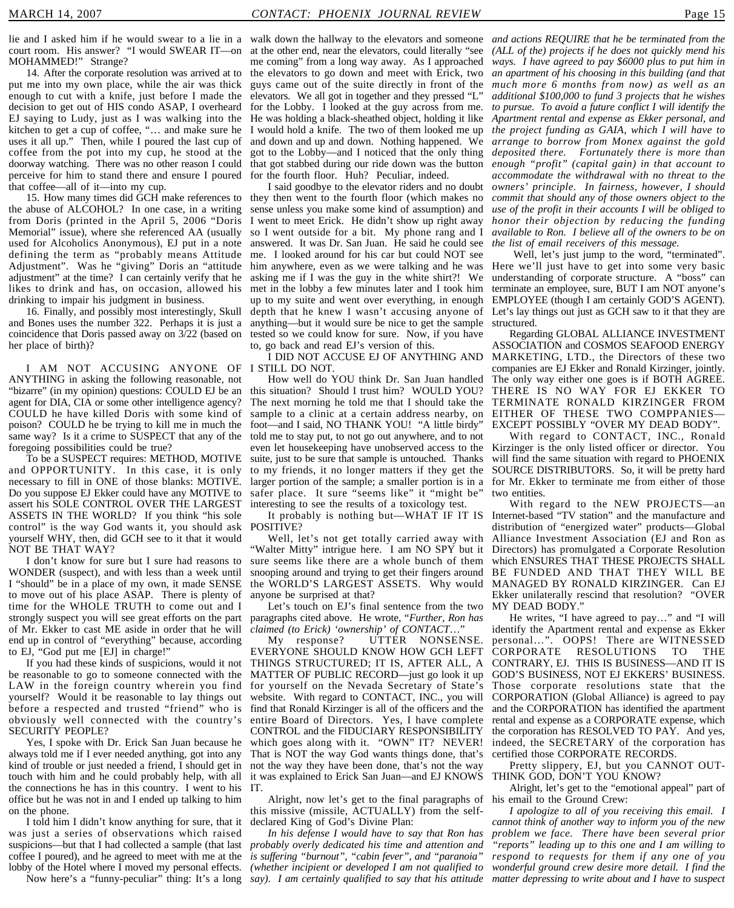lie and I asked him if he would swear to a lie in a walk down the hallway to the elevators and someone *and actions REQUIRE that he be terminated from the* court room. His answer? "I would SWEAR IT—on at the other end, near the elevators, could literally "see *(ALL of the) projects if he does not quickly mend his* MOHAMMED!" Strange?

14. After the corporate resolution was arrived at to put me into my own place, while the air was thick enough to cut with a knife, just before I made the decision to get out of HIS condo ASAP, I overheard EJ saying to Ludy, just as I was walking into the kitchen to get a cup of coffee, "… and make sure he uses it all up." Then, while I poured the last cup of coffee from the pot into my cup, he stood at the doorway watching. There was no other reason I could perceive for him to stand there and ensure I poured that coffee—all of it—into my cup.

the abuse of ALCOHOL? In one case, in a writing from Doris (printed in the April 5, 2006 "Doris Memorial" issue), where she referenced AA (usually used for Alcoholics Anonymous), EJ put in a note defining the term as "probably means Attitude Adjustment". Was he "giving" Doris an "attitude adjustment" at the time? I can certainly verify that he likes to drink and has, on occasion, allowed his drinking to impair his judgment in business.

16. Finally, and possibly most interestingly, Skull and Bones uses the number 322. Perhaps it is just a coincidence that Doris passed away on 3/22 (based on her place of birth)?

I AM NOT ACCUSING ANYONE OF ANYTHING in asking the following reasonable, not "bizarre" (in my opinion) questions: COULD EJ be an agent for DIA, CIA or some other intelligence agency? COULD he have killed Doris with some kind of poison? COULD he be trying to kill me in much the same way? Is it a crime to SUSPECT that any of the foregoing possibilities could be true?

To be a SUSPECT requires: METHOD, MOTIVE and OPPORTUNITY. In this case, it is only necessary to fill in ONE of those blanks: MOTIVE. Do you suppose EJ Ekker could have any MOTIVE to assert his SOLE CONTROL OVER THE LARGEST ASSETS IN THE WORLD? If you think "his sole control" is the way God wants it, you should ask yourself WHY, then, did GCH see to it that it would NOT BE THAT WAY?

I don't know for sure but I sure had reasons to WONDER (suspect), and with less than a week until I "should" be in a place of my own, it made SENSE to move out of his place ASAP. There is plenty of time for the WHOLE TRUTH to come out and I strongly suspect you will see great efforts on the part of Mr. Ekker to cast ME aside in order that he will end up in control of "everything" because, according to EJ, "God put me [EJ] in charge!"

If you had these kinds of suspicions, would it not be reasonable to go to someone connected with the MATTER OF PUBLIC RECORD—just go look it up LAW in the foreign country wherein you find yourself? Would it be reasonable to lay things out before a respected and trusted "friend" who is obviously well connected with the country's SECURITY PEOPLE?

Yes, I spoke with Dr. Erick San Juan because he always told me if I ever needed anything, got into any kind of trouble or just needed a friend, I should get in touch with him and he could probably help, with all it was explained to Erick San Juan—and EJ KNOWS the connections he has in this country. I went to his IT. office but he was not in and I ended up talking to him on the phone.

I told him I didn't know anything for sure, that it was just a series of observations which raised suspicions—but that I had collected a sample (that last coffee I poured), and he agreed to meet with me at the lobby of the Hotel where I moved my personal effects.

me coming" from a long way away. As I approached the elevators to go down and meet with Erick, two guys came out of the suite directly in front of the elevators. We all got in together and they pressed "L" for the Lobby. I looked at the guy across from me. He was holding a black-sheathed object, holding it like I would hold a knife. The two of them looked me up and down and up and down. Nothing happened. We got to the Lobby—and I noticed that the only thing that got stabbed during our ride down was the button for the fourth floor. Huh? Peculiar, indeed.

15. How many times did GCH make references to they then went to the fourth floor (which makes no I said goodbye to the elevator riders and no doubt sense unless you make some kind of assumption) and I went to meet Erick. He didn't show up right away so I went outside for a bit. My phone rang and I answered. It was Dr. San Juan. He said he could see me. I looked around for his car but could NOT see him anywhere, even as we were talking and he was asking me if I was the guy in the white shirt?! We met in the lobby a few minutes later and I took him up to my suite and went over everything, in enough depth that he knew I wasn't accusing anyone of anything—but it would sure be nice to get the sample tested so we could know for sure. Now, if you have to, go back and read EJ's version of this.

> I DID NOT ACCUSE EJ OF ANYTHING AND I STILL DO NOT.

How well do YOU think Dr. San Juan handled this situation? Should I trust him? WOULD YOU? The next morning he told me that I should take the sample to a clinic at a certain address nearby, on EITHER OF THESE TWO COMPPANIESfoot—and I said, NO THANK YOU! "A little birdy" told me to stay put, to not go out anywhere, and to not even let housekeeping have unobserved access to the suite, just to be sure that sample is untouched. Thanks to my friends, it no longer matters if they get the larger portion of the sample; a smaller portion is in a safer place. It sure "seems like" it "might be" interesting to see the results of a toxicology test.

POSITIVE?

Well, let's not get totally carried away with "Walter Mitty" intrigue here. I am NO SPY but it sure seems like there are a whole bunch of them snooping around and trying to get their fingers around the WORLD'S LARGEST ASSETS. Why would anyone be surprised at that?

Let's touch on EJ's final sentence from the two paragraphs cited above. He wrote, "*Further, Ron has claimed (to Erick) 'ownership' of CONTACT*…"

My response? UTTER NONSENSE. EVERYONE SHOULD KNOW HOW GCH LEFT THINGS STRUCTURED; IT IS, AFTER ALL, A for yourself on the Nevada Secretary of State's website. With regard to CONTACT, INC., you will find that Ronald Kirzinger is all of the officers and the entire Board of Directors. Yes, I have complete CONTROL and the FIDUCIARY RESPONSIBILITY which goes along with it. "OWN" IT? NEVER! That is NOT the way God wants things done, that's not the way they have been done, that's not the way

Alright, now let's get to the final paragraphs of his email to the Ground Crew: this missive (missile, ACTUALLY) from the selfdeclared King of God's Divine Plan:

Now here's a "funny-peculiar" thing: It's a long *say). I am certainly qualified to say that his attitude In his defense I would have to say that Ron has probably overly dedicated his time and attention and is suffering "burnout", "cabin fever", and "paranoia" (whether incipient or developed I am not qualified to*

*ways. I have agreed to pay \$6000 plus to put him in an apartment of his choosing in this building (and that much more 6 months from now) as well as an additional \$100,000 to fund 3 projects that he wishes to pursue. To avoid a future conflict I will identify the Apartment rental and expense as Ekker personal, and the project funding as GAIA, which I will have to arrange to borrow from Monex against the gold deposited there. Fortunately there is more than enough "profit" (capital gain) in that account to accommodate the withdrawal with no threat to the owners' principle. In fairness, however, I should commit that should any of those owners object to the use of the profit in their accounts I will be obliged to honor their objection by reducing the funding available to Ron. I believe all of the owners to be on the list of email receivers of this message.*

Well, let's just jump to the word, "terminated". Here we'll just have to get into some very basic understanding of corporate structure. A "boss" can terminate an employee, sure, BUT I am NOT anyone's EMPLOYEE (though I am certainly GOD'S AGENT). Let's lay things out just as GCH saw to it that they are structured.

Regarding GLOBAL ALLIANCE INVESTMENT ASSOCIATION and COSMOS SEAFOOD ENERGY MARKETING, LTD., the Directors of these two companies are EJ Ekker and Ronald Kirzinger, jointly. The only way either one goes is if BOTH AGREE. THERE IS NO WAY FOR EJ EKKER TO TERMINATE RONALD KIRZINGER FROM EXCEPT POSSIBLY "OVER MY DEAD BODY".

With regard to CONTACT, INC., Ronald Kirzinger is the only listed officer or director. You will find the same situation with regard to PHOENIX SOURCE DISTRIBUTORS. So, it will be pretty hard for Mr. Ekker to terminate me from either of those two entities.

It probably is nothing but—WHAT IF IT IS Internet-based "TV station" and the manufacture and With regard to the NEW PROJECTS—an distribution of "energized water" products—Global Alliance Investment Association (EJ and Ron as Directors) has promulgated a Corporate Resolution which ENSURES THAT THESE PROJECTS SHALL BE FUNDED AND THAT THEY WILL BE MANAGED BY RONALD KIRZINGER. Can EJ Ekker unilaterally rescind that resolution? "OVER MY DEAD BODY."

> He writes, "I have agreed to pay…" and "I will identify the Apartment rental and expense as Ekker personal…". OOPS! There are WITNESSED CORPORATE RESOLUTIONS TO THE CONTRARY, EJ. THIS IS BUSINESS—AND IT IS GOD'S BUSINESS, NOT EJ EKKERS' BUSINESS. Those corporate resolutions state that the CORPORATION (Global Alliance) is agreed to pay and the CORPORATION has identified the apartment rental and expense as a CORPORATE expense, which the corporation has RESOLVED TO PAY. And yes, indeed, the SECRETARY of the corporation has certified those CORPORATE RECORDS.

> Pretty slippery, EJ, but you CANNOT OUT-THINK GOD, DON'T YOU KNOW?

> Alright, let's get to the "emotional appeal" part of

*I apologize to all of you receiving this email. I cannot think of another way to inform you of the new problem we face. There have been several prior "reports" leading up to this one and I am willing to respond to requests for them if any one of you wonderful ground crew desire more detail. I find the matter depressing to write about and I have to suspect*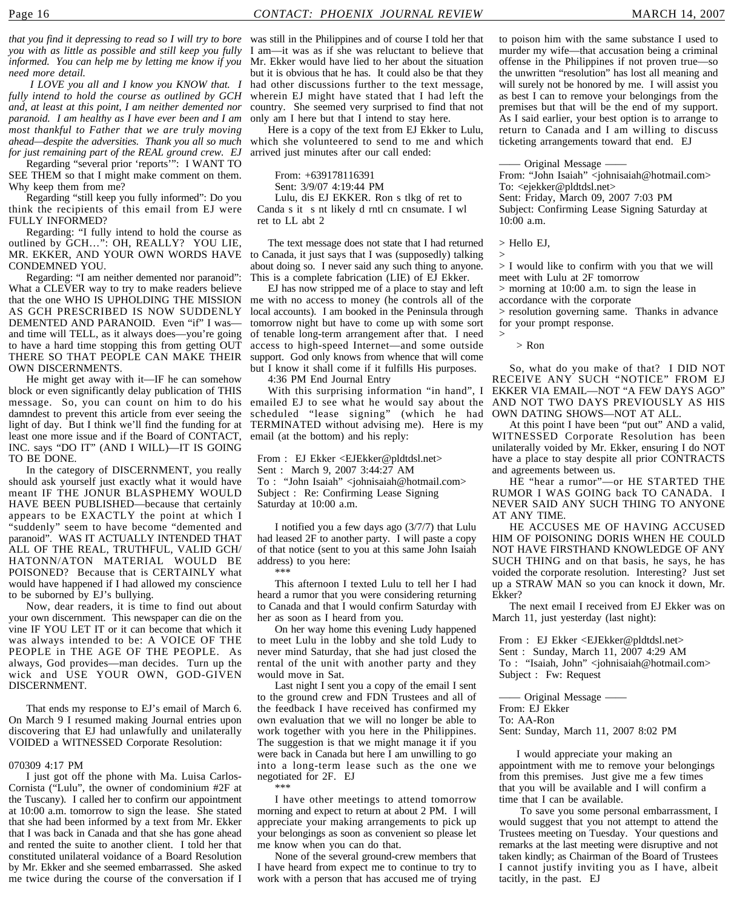*informed. You can help me by letting me know if you need more detail. I LOVE you all and I know you KNOW that. I fully intend to hold the course as outlined by GCH and, at least at this point, I am neither demented nor paranoid. I am healthy as I have ever been and I am most thankful to Father that we are truly moving*

*for just remaining part of the REAL ground crew. EJ* Regarding "several prior 'reports'": I WANT TO SEE THEM so that I might make comment on them. Why keep them from me?

*ahead—despite the adversities. Thank you all so much*

Regarding "still keep you fully informed": Do you think the recipients of this email from EJ were FULLY INFORMED?

Regarding: "I fully intend to hold the course as outlined by GCH…": OH, REALLY? YOU LIE, MR. EKKER, AND YOUR OWN WORDS HAVE CONDEMNED YOU.

Regarding: "I am neither demented nor paranoid": What a CLEVER way to try to make readers believe that the one WHO IS UPHOLDING THE MISSION AS GCH PRESCRIBED IS NOW SUDDENLY DEMENTED AND PARANOID. Even "if" I was and time will TELL, as it always does—you're going to have a hard time stopping this from getting OUT THERE SO THAT PEOPLE CAN MAKE THEIR OWN DISCERNMENTS

He might get away with it—IF he can somehow block or even significantly delay publication of THIS message. So, you can count on him to do his emailed EJ to see what he would say about the damndest to prevent this article from ever seeing the light of day. But I think we'll find the funding for at TERMINATED without advising me). Here is my least one more issue and if the Board of CONTACT, INC. says "DO IT" (AND I WILL)—IT IS GOING TO BE DONE.

In the category of DISCERNMENT, you really should ask yourself just exactly what it would have meant IF THE JONUR BLASPHEMY WOULD HAVE BEEN PUBLISHED—because that certainly appears to be EXACTLY the point at which I "suddenly" seem to have become "demented and paranoid". WAS IT ACTUALLY INTENDED THAT ALL OF THE REAL, TRUTHFUL, VALID GCH/ HATONN/ATON MATERIAL WOULD BE POISONED? Because that is CERTAINLY what would have happened if I had allowed my conscience to be suborned by EJ's bullying.

Now, dear readers, it is time to find out about your own discernment. This newspaper can die on the vine IF YOU LET IT or it can become that which it was always intended to be: A VOICE OF THE PEOPLE in THE AGE OF THE PEOPLE. As always, God provides—man decides. Turn up the wick and USE YOUR OWN, GOD-GIVEN DISCERNMENT.

That ends my response to EJ's email of March 6. On March 9 I resumed making Journal entries upon discovering that EJ had unlawfully and unilaterally VOIDED a WITNESSED Corporate Resolution:

#### 070309 4:17 PM

I just got off the phone with Ma. Luisa Carlos-Cornista ("Lulu", the owner of condominium #2F at the Tuscany). I called her to confirm our appointment at 10:00 a.m. tomorrow to sign the lease. She stated that she had been informed by a text from Mr. Ekker that I was back in Canada and that she has gone ahead and rented the suite to another client. I told her that constituted unilateral voidance of a Board Resolution by Mr. Ekker and she seemed embarrassed. She asked me twice during the course of the conversation if I

*that you find it depressing to read so I will try to bore* was still in the Philippines and of course I told her that *you with as little as possible and still keep you fully* I am—it was as if she was reluctant to believe that Mr. Ekker would have lied to her about the situation but it is obvious that he has. It could also be that they had other discussions further to the text message, wherein EJ might have stated that I had left the country. She seemed very surprised to find that not only am I here but that I intend to stay here.

> Here is a copy of the text from EJ Ekker to Lulu, which she volunteered to send to me and which arrived just minutes after our call ended:

From: +639178116391 Sent: 3/9/07 4:19:44 PM Lulu, dis EJ EKKER. Ron s tlkg of ret to Canda s it s nt likely d rntl cn cnsumate. I wl ret to LL abt 2

The text message does not state that I had returned to Canada, it just says that I was (supposedly) talking about doing so. I never said any such thing to anyone. This is a complete fabrication (LIE) of EJ Ekker.

EJ has now stripped me of a place to stay and left me with no access to money (he controls all of the local accounts). I am booked in the Peninsula through tomorrow night but have to come up with some sort of tenable long-term arrangement after that. I need access to high-speed Internet—and some outside support. God only knows from whence that will come but I know it shall come if it fulfills His purposes.

4:36 PM End Journal Entry

With this surprising information "in hand", I scheduled "lease signing" (which he had OWN DATING SHOWS—NOT AT ALL. email (at the bottom) and his reply:

From : EJ Ekker <EJEkker@pldtdsl.net> Sent : March 9, 2007 3:44:27 AM To : "John Isaiah" <johnisaiah@hotmail.com> Subject : Re: Confirming Lease Signing Saturday at 10:00 a.m.

I notified you a few days ago (3/7/7) that Lulu had leased 2F to another party. I will paste a copy of that notice (sent to you at this same John Isaiah address) to you here:

\*\*\* This afternoon I texted Lulu to tell her I had heard a rumor that you were considering returning to Canada and that I would confirm Saturday with her as soon as I heard from you.

On her way home this evening Ludy happened to meet Lulu in the lobby and she told Ludy to never mind Saturday, that she had just closed the rental of the unit with another party and they would move in Sat.

Last night I sent you a copy of the email I sent to the ground crew and FDN Trustees and all of the feedback I have received has confirmed my own evaluation that we will no longer be able to work together with you here in the Philippines. The suggestion is that we might manage it if you were back in Canada but here I am unwilling to go into a long-term lease such as the one we negotiated for 2F. EJ \*\*\*

I have other meetings to attend tomorrow morning and expect to return at about 2 PM. I will appreciate your making arrangements to pick up your belongings as soon as convenient so please let me know when you can do that.

None of the several ground-crew members that I have heard from expect me to continue to try to work with a person that has accused me of trying to poison him with the same substance I used to murder my wife—that accusation being a criminal offense in the Philippines if not proven true—so the unwritten "resolution" has lost all meaning and will surely not be honored by me. I will assist you as best I can to remove your belongings from the premises but that will be the end of my support. As I said earlier, your best option is to arrange to return to Canada and I am willing to discuss ticketing arrangements toward that end. EJ

Original Message –

From: "John Isaiah" <johnisaiah@hotmail.com> To: <ejekker@pldtdsl.net> Sent: Friday, March 09, 2007 7:03 PM Subject: Confirming Lease Signing Saturday at 10:00 a.m.

> Hello EJ,

>

>

> I would like to confirm with you that we will meet with Lulu at 2F tomorrow

> morning at 10:00 a.m. to sign the lease in accordance with the corporate

> resolution governing same. Thanks in advance for your prompt response.

> Ron

So, what do you make of that? I DID NOT RECEIVE ANY SUCH "NOTICE" FROM EJ EKKER VIA EMAIL—NOT "A FEW DAYS AGO" AND NOT TWO DAYS PREVIOUSLY AS HIS

At this point I have been "put out" AND a valid, WITNESSED Corporate Resolution has been unilaterally voided by Mr. Ekker, ensuring I do NOT have a place to stay despite all prior CONTRACTS and agreements between us.

HE "hear a rumor"—or HE STARTED THE RUMOR I WAS GOING back TO CANADA. I NEVER SAID ANY SUCH THING TO ANYONE AT ANY TIME.

HE ACCUSES ME OF HAVING ACCUSED HIM OF POISONING DORIS WHEN HE COULD NOT HAVE FIRSTHAND KNOWLEDGE OF ANY SUCH THING and on that basis, he says, he has voided the corporate resolution. Interesting? Just set up a STRAW MAN so you can knock it down, Mr. Ekker?

The next email I received from EJ Ekker was on March 11, just yesterday (last night):

From : EJ Ekker <EJEkker@pldtdsl.net> Sent : Sunday, March 11, 2007 4:29 AM To : "Isaiah, John" <johnisaiah@hotmail.com> Subject : Fw: Request

—— Original Message —— From: EJ Ekker To: AA-Ron Sent: Sunday, March 11, 2007 8:02 PM

I would appreciate your making an appointment with me to remove your belongings from this premises. Just give me a few times that you will be available and I will confirm a time that I can be available.

 To save you some personal embarrassment, I would suggest that you not attempt to attend the Trustees meeting on Tuesday. Your questions and remarks at the last meeting were disruptive and not taken kindly; as Chairman of the Board of Trustees I cannot justify inviting you as I have, albeit tacitly, in the past. EJ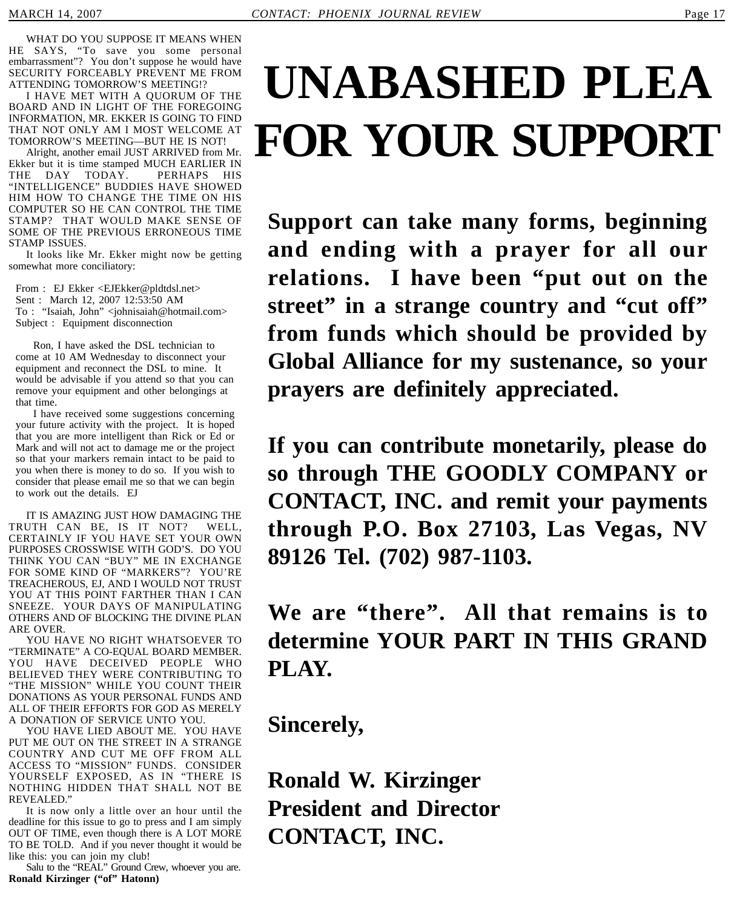WHAT DO YOU SUPPOSE IT MEANS WHEN HE SAYS, "To save you some personal embarrassment"? You don't suppose he would have SECURITY FORCEABLY PREVENT ME FROM ATTENDING TOMORROW'S MEETING!?

I HAVE MET WITH A QUORUM OF THE BOARD AND IN LIGHT OF THE FOREGOING INFORMATION, MR. EKKER IS GOING TO FIND THAT NOT ONLY AM I MOST WELCOME AT TOMORROW'S MEETING—BUT HE IS NOT!

Alright, another email JUST ARRIVED from Mr. Ekker but it is time stamped MUCH EARLIER IN THE DAY TODAY. PERHAPS HIS "INTELLIGENCE" BUDDIES HAVE SHOWED HIM HOW TO CHANGE THE TIME ON HIS COMPUTER SO HE CAN CONTROL THE TIME STAMP? THAT WOULD MAKE SENSE OF SOME OF THE PREVIOUS ERRONEOUS TIME STAMP ISSUES.

It looks like Mr. Ekker might now be getting somewhat more conciliatory:

From : EJ Ekker <EJEkker@pldtdsl.net> Sent : March 12, 2007 12:53:50 AM To : "Isaiah, John" <johnisaiah@hotmail.com> Subject : Equipment disconnection

Ron, I have asked the DSL technician to come at 10 AM Wednesday to disconnect your equipment and reconnect the DSL to mine. It would be advisable if you attend so that you can remove your equipment and other belongings at that time.

I have received some suggestions concerning your future activity with the project. It is hoped that you are more intelligent than Rick or Ed or Mark and will not act to damage me or the project so that your markers remain intact to be paid to you when there is money to do so. If you wish to consider that please email me so that we can begin to work out the details. EJ

IT IS AMAZING JUST HOW DAMAGING THE TRUTH CAN BE, IS IT NOT? WELL, CERTAINLY IF YOU HAVE SET YOUR OWN PURPOSES CROSSWISE WITH GOD'S. DO YOU THINK YOU CAN "BUY" ME IN EXCHANGE FOR SOME KIND OF "MARKERS"? YOU'RE TREACHEROUS, EJ, AND I WOULD NOT TRUST YOU AT THIS POINT FARTHER THAN I CAN SNEEZE. YOUR DAYS OF MANIPULATING OTHERS AND OF BLOCKING THE DIVINE PLAN ARE OVER.

YOU HAVE NO RIGHT WHATSOEVER TO "TERMINATE" A CO-EQUAL BOARD MEMBER. YOU HAVE DECEIVED PEOPLE WHO BELIEVED THEY WERE CONTRIBUTING TO "THE MISSION" WHILE YOU COUNT THEIR DONATIONS AS YOUR PERSONAL FUNDS AND ALL OF THEIR EFFORTS FOR GOD AS MERELY A DONATION OF SERVICE UNTO YOU.

YOU HAVE LIED ABOUT ME. YOU HAVE PUT ME OUT ON THE STREET IN A STRANGE COUNTRY AND CUT ME OFF FROM ALL ACCESS TO "MISSION" FUNDS. CONSIDER YOURSELF EXPOSED, AS IN "THERE IS NOTHING HIDDEN THAT SHALL NOT BE REVEALED."

It is now only a little over an hour until the deadline for this issue to go to press and I am simply OUT OF TIME, even though there is A LOT MORE TO BE TOLD. And if you never thought it would be like this: you can join my club!

Salu to the "REAL" Ground Crew, whoever you are. **Ronald Kirzinger ("of" Hatonn)**

## **UNABASHED PLEA FOR YOUR SUPPORT**

**Support can take many forms, beginning and ending with a prayer for all our relations. I have been "put out on the** street" in a strange country and "cut off" **from funds which should be provided by Global Alliance for my sustenance, so your prayers are definitely appreciated.**

**If you can contribute monetarily, please do so through THE GOODLY COMPANY or CONTACT, INC. and remit your payments through P.O. Box 27103, Las Vegas, NV 89126 Tel. (702) 987-1103.**

### **We are "there". All that remains is to determine YOUR PART IN THIS GRAND PLAY.**

**Sincerely,**

**Ronald W. Kirzinger President and Director CONTACT, INC.**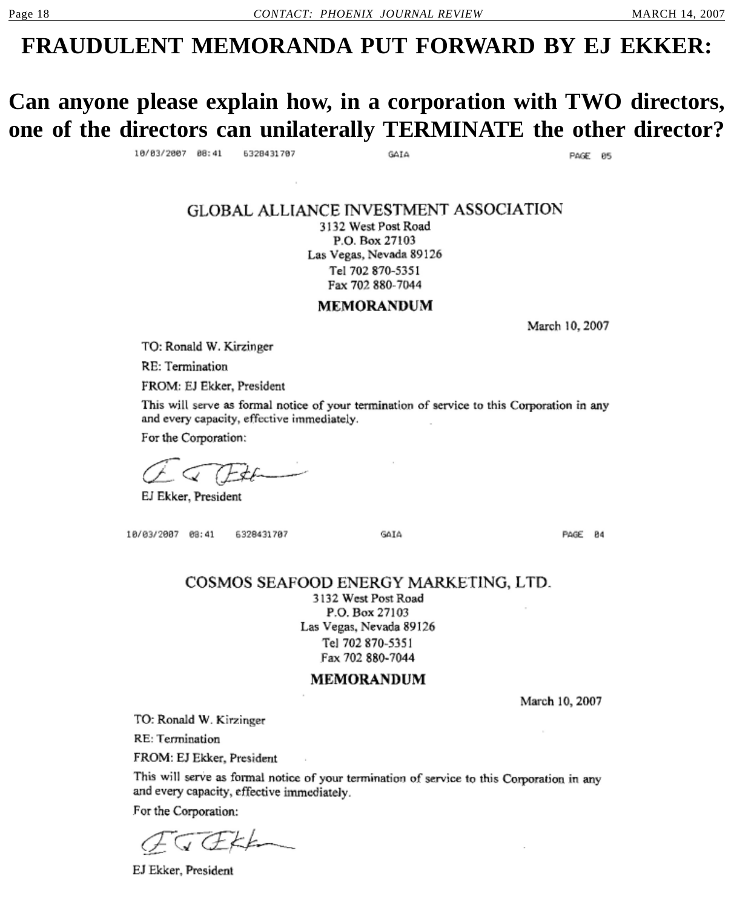### **FRAUDULENT MEMORANDA PUT FORWARD BY EJ EKKER:**

### **Can anyone please explain how, in a corporation with TWO directors, one of the directors can unilaterally TERMINATE the other director?**

10/03/2007 08:41 6328431787 GAIA

PAGE 05

#### **GLOBAL ALLIANCE INVESTMENT ASSOCIATION**

3132 West Post Road P.O. Box 27103 Las Vegas, Nevada 89126 Tel 702 870-5351 Fax 702 880-7044

**MEMORANDUM** 

March 10, 2007

TO: Ronald W. Kirzinger

**RE: Termination** 

FROM: EJ Ekker, President

This will serve as formal notice of your termination of service to this Corporation in any and every capacity, effective immediately.

For the Corporation:

EJ Ekker, President

10/03/2007 08:41 6328431787 **GATA** 

PAGE 84

#### COSMOS SEAFOOD ENERGY MARKETING, LTD.

3132 West Post Road P.O. Box 27103 Las Vegas, Nevada 89126 Tel 702 870-5351 Fax 702 880-7044

#### **MEMORANDUM**

March 10, 2007

TO: Ronald W. Kirzinger

RE: Termination

FROM: EJ Ekker, President

This will serve as formal notice of your termination of service to this Corporation in any and every capacity, effective immediately.

For the Corporation:

EJ Ekker, President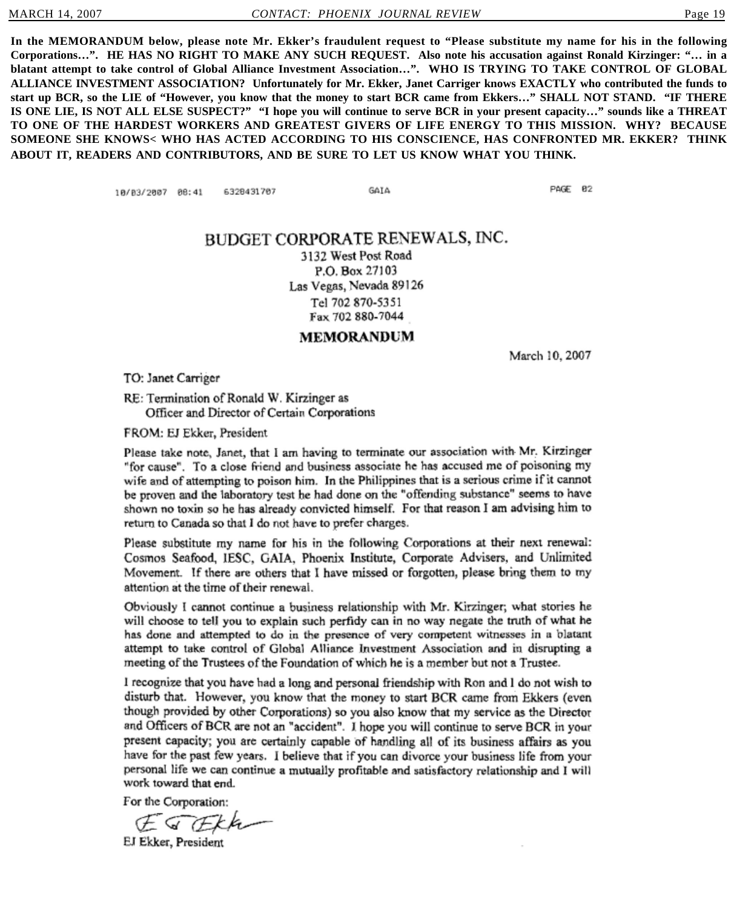**In the MEMORANDUM below, please note Mr. Ekker's fraudulent request to "Please substitute my name for his in the following Corporations…". HE HAS NO RIGHT TO MAKE ANY SUCH REQUEST. Also note his accusation against Ronald Kirzinger: "… in a blatant attempt to take control of Global Alliance Investment Association…". WHO IS TRYING TO TAKE CONTROL OF GLOBAL ALLIANCE INVESTMENT ASSOCIATION? Unfortunately for Mr. Ekker, Janet Carriger knows EXACTLY who contributed the funds to start up BCR, so the LIE of "However, you know that the money to start BCR came from Ekkers…" SHALL NOT STAND. "IF THERE IS ONE LIE, IS NOT ALL ELSE SUSPECT?" "I hope you will continue to serve BCR in your present capacity…" sounds like a THREAT TO ONE OF THE HARDEST WORKERS AND GREATEST GIVERS OF LIFE ENERGY TO THIS MISSION. WHY? BECAUSE SOMEONE SHE KNOWS< WHO HAS ACTED ACCORDING TO HIS CONSCIENCE, HAS CONFRONTED MR. EKKER? THINK ABOUT IT, READERS AND CONTRIBUTORS, AND BE SURE TO LET US KNOW WHAT YOU THINK.**

> 6328431707 10/03/2007 08:41

GAIA

PAGE 82

#### BUDGET CORPORATE RENEWALS, INC.

3132 West Post Road P.O. Box 27103 Las Vegas, Nevada 89126 Tel 702 870-5351 Fax 702 880-7044

**MEMORANDUM** 

March 10, 2007

TO: Janet Carriger

RE: Termination of Ronald W. Kirzinger as Officer and Director of Certain Corporations

FROM: EJ Ekker, President

Please take note, Janet, that I am having to terminate our association with Mr. Kirzinger "for cause". To a close friend and business associate he has accused me of poisoning my wife and of attempting to poison him. In the Philippines that is a serious crime if it cannot be proven and the laboratory test he had done on the "offending substance" seems to have shown no toxin so he has already convicted himself. For that reason I am advising him to return to Canada so that I do not have to prefer charges.

Please substitute my name for his in the following Corporations at their next renewal: Cosmos Seafood, IESC, GAIA, Phoenix Institute, Corporate Advisers, and Unlimited Movement. If there are others that I have missed or forgotten, please bring them to my attention at the time of their renewal.

Obviously I cannot continue a business relationship with Mr. Kirzinger; what stories he will choose to tell you to explain such perfidy can in no way negate the truth of what he has done and attempted to do in the presence of very competent witnesses in a blatant attempt to take control of Global Alliance Investment Association and in disrupting a meeting of the Trustees of the Foundation of which he is a member but not a Trustee.

I recognize that you have had a long and personal friendship with Ron and I do not wish to disturb that. However, you know that the money to start BCR came from Ekkers (even though provided by other Corporations) so you also know that my service as the Director and Officers of BCR are not an "accident". I hope you will continue to serve BCR in your present capacity; you are certainly capable of handling all of its business affairs as you have for the past few years. I believe that if you can divorce your business life from your personal life we can continue a mutually profitable and satisfactory relationship and I will work toward that end.

For the Corporation:

EJ Ekker, President